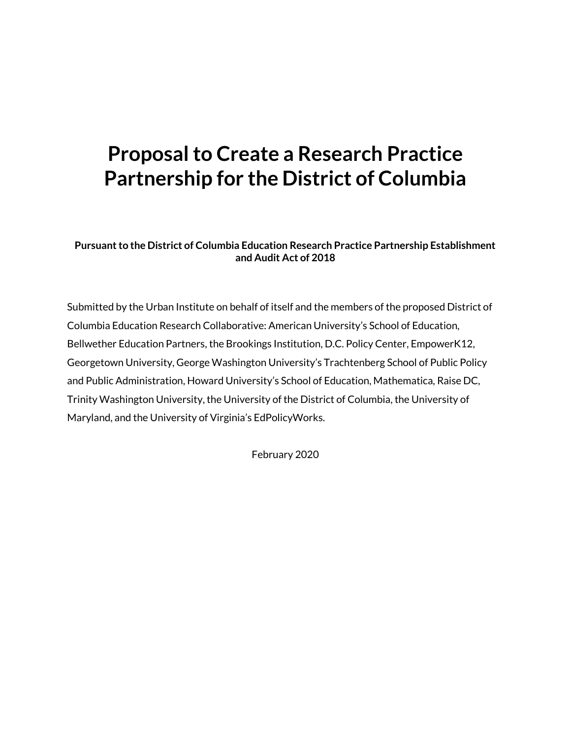# **Proposal to Create a Research Practice Partnership for the District of Columbia**

**Pursuant to the District of Columbia Education Research Practice Partnership Establishment and Audit Act of 2018**

Submitted by the Urban Institute on behalf of itself and the members of the proposed District of Columbia Education Research Collaborative: American University's School of Education, Bellwether Education Partners, the Brookings Institution, D.C. Policy Center, EmpowerK12, Georgetown University, George Washington University's Trachtenberg School of Public Policy and Public Administration, Howard University's School of Education, Mathematica, Raise DC, Trinity Washington University, the University of the District of Columbia, the University of Maryland, and the University of Virginia's EdPolicyWorks.

February 2020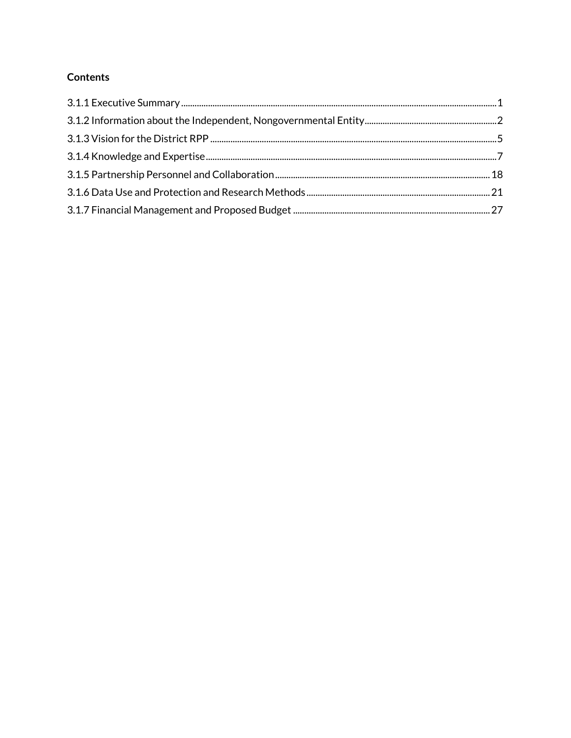# **Contents**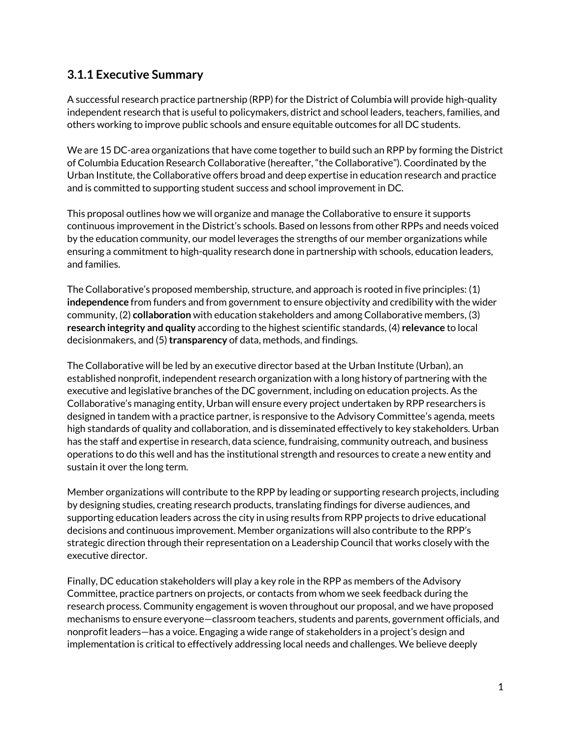# <span id="page-2-0"></span>**3.1.1 Executive Summary**

A successful research practice partnership (RPP) for the District of Columbia will provide high-quality independent research that is useful to policymakers, district and school leaders, teachers, families, and others working to improve public schools and ensure equitable outcomes for all DC students.

We are 15 DC-area organizations that have come together to build such an RPP by forming the District of Columbia Education Research Collaborative (hereafter, "the Collaborative"). Coordinated by the Urban Institute, the Collaborative offers broad and deep expertise in education research and practice and is committed to supporting student success and school improvement in DC.

This proposal outlines how we will organize and manage the Collaborative to ensure it supports continuous improvement in the District's schools. Based on lessons from other RPPs and needs voiced by the education community, our model leverages the strengths of our member organizations while ensuring a commitment to high-quality research done in partnership with schools, education leaders, and families.

The Collaborative's proposed membership, structure, and approach is rooted in five principles: (1) **independence** from funders and from government to ensure objectivity and credibility with the wider community, (2) **collaboration** with education stakeholders and among Collaborative members, (3) **research integrity and quality** according to the highest scientific standards, (4) **relevance** to local decisionmakers, and (5) **transparency** of data, methods, and findings.

The Collaborative will be led by an executive director based at the Urban Institute (Urban), an established nonprofit, independent research organization with a long history of partnering with the executive and legislative branches of the DC government, including on education projects. As the Collaborative's managing entity, Urban will ensure every project undertaken by RPP researchers is designed in tandem with a practice partner, is responsive to the Advisory Committee's agenda, meets high standards of quality and collaboration, and is disseminated effectively to key stakeholders. Urban has the staff and expertise in research, data science, fundraising, community outreach, and business operations to do this well and has the institutional strength and resources to create a new entity and sustain it over the long term.

Member organizations will contribute to the RPP by leading or supporting research projects, including by designing studies, creating research products, translating findings for diverse audiences, and supporting education leaders across the city in using results from RPP projects to drive educational decisions and continuous improvement. Member organizations will also contribute to the RPP's strategic direction through their representation on a Leadership Council that works closely with the executive director.

Finally, DC education stakeholders will play a key role in the RPP as members of the Advisory Committee, practice partners on projects, or contacts from whom we seek feedback during the research process. Community engagement is woven throughout our proposal, and we have proposed mechanisms to ensure everyone—classroom teachers, students and parents, government officials, and nonprofit leaders—has a voice. Engaging a wide range of stakeholders in a project's design and implementation is critical to effectively addressing local needs and challenges. We believe deeply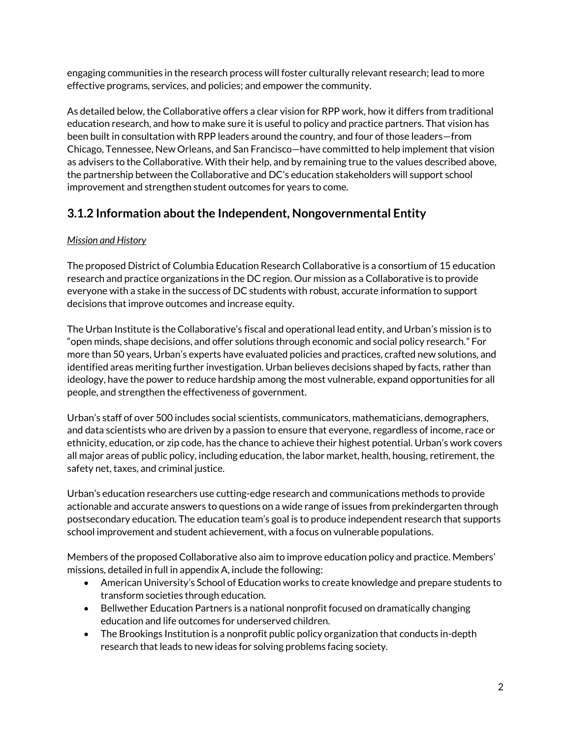engaging communities in the research process will foster culturally relevant research; lead to more effective programs, services, and policies; and empower the community.

As detailed below, the Collaborative offers a clear vision for RPP work, how it differs from traditional education research, and how to make sure it is useful to policy and practice partners. That vision has been built in consultation with RPP leaders around the country, and four of those leaders—from Chicago, Tennessee, New Orleans, and San Francisco—have committed to help implement that vision as advisers to the Collaborative. With their help, and by remaining true to the values described above, the partnership between the Collaborative and DC's education stakeholders will support school improvement and strengthen student outcomes for years to come.

# <span id="page-3-0"></span>**3.1.2 Information about the Independent, Nongovernmental Entity**

# *Mission and History*

The proposed District of Columbia Education Research Collaborative is a consortium of 15 education research and practice organizations in the DC region. Our mission as a Collaborative is to provide everyone with a stake in the success of DC students with robust, accurate information to support decisions that improve outcomes and increase equity.

The Urban Institute is the Collaborative's fiscal and operational lead entity, and Urban's mission is to "open minds, shape decisions, and offer solutions through economic and social policy research." For more than 50 years, Urban's experts have evaluated policies and practices, crafted new solutions, and identified areas meriting further investigation. Urban believes decisions shaped by facts, rather than ideology, have the power to reduce hardship among the most vulnerable, expand opportunities for all people, and strengthen the effectiveness of government.

Urban's staff of over 500 includes social scientists, communicators, mathematicians, demographers, and data scientists who are driven by a passion to ensure that everyone, regardless of income, race or ethnicity, education, or zip code, has the chance to achieve their highest potential. Urban's work covers all major areas of public policy, including education, the labor market, health, housing, retirement, the safety net, taxes, and criminal justice.

Urban's education researchers use cutting-edge research and communications methods to provide actionable and accurate answers to questions on a wide range of issues from prekindergarten through postsecondary education. The education team's goal is to produce independent research that supports school improvement and student achievement, with a focus on vulnerable populations.

Members of the proposed Collaborative also aim to improve education policy and practice. Members' missions, detailed in full in appendix A, include the following:

- American University's School of Education works to create knowledge and prepare students to transform societies through education.
- Bellwether Education Partners is a national nonprofit focused on dramatically changing education and life outcomes for underserved children.
- The Brookings Institution is a nonprofit public policy organization that conducts in-depth research that leads to new ideas for solving problems facing society.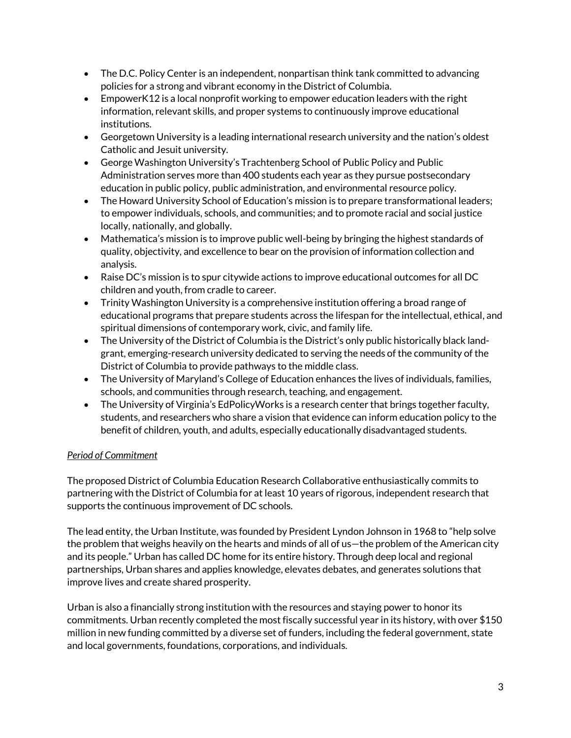- The D.C. Policy Center is an independent, nonpartisan think tank committed to advancing policies for a strong and vibrant economy in the District of Columbia.
- EmpowerK12 is a local nonprofit working to empower education leaders with the right information, relevant skills, and proper systems to continuously improve educational institutions.
- Georgetown University is a leading international research university and the nation's oldest Catholic and Jesuit university.
- George Washington University's Trachtenberg School of Public Policy and Public Administration serves more than 400 students each year as they pursue postsecondary education in public policy, public administration, and environmental resource policy.
- The Howard University School of Education's mission is to prepare transformational leaders; to empower individuals, schools, and communities; and to promote racial and social justice locally, nationally, and globally.
- Mathematica's mission is to improve public well-being by bringing the highest standards of quality, objectivity, and excellence to bear on the provision of information collection and analysis.
- Raise DC's mission is to spur citywide actions to improve educational outcomes for all DC children and youth, from cradle to career.
- Trinity Washington University is a comprehensive institution offering a broad range of educational programs that prepare students across the lifespan for the intellectual, ethical, and spiritual dimensions of contemporary work, civic, and family life.
- The University of the District of Columbia is the District's only public historically black landgrant, emerging-research university dedicated to serving the needs of the community of the District of Columbia to provide pathways to the middle class.
- The University of Maryland's College of Education enhances the lives of individuals, families, schools, and communities through research, teaching, and engagement.
- The University of Virginia's EdPolicyWorks is a research center that brings together faculty, students, and researchers who share a vision that evidence can inform education policy to the benefit of children, youth, and adults, especially educationally disadvantaged students.

# *Period of Commitment*

The proposed District of Columbia Education Research Collaborative enthusiastically commits to partnering with the District of Columbia for at least 10 years of rigorous, independent research that supports the continuous improvement of DC schools.

The lead entity, the Urban Institute, was founded by President Lyndon Johnson in 1968 to "help solve the problem that weighs heavily on the hearts and minds of all of us—the problem of the American city and its people." Urban has called DC home for its entire history. Through deep local and regional partnerships, Urban shares and applies knowledge, elevates debates, and generates solutions that improve lives and create shared prosperity.

Urban is also a financially strong institution with the resources and staying power to honor its commitments. Urban recently completed the most fiscally successful year in its history, with over \$150 million in new funding committed by a diverse set of funders, including the federal government, state and local governments, foundations, corporations, and individuals.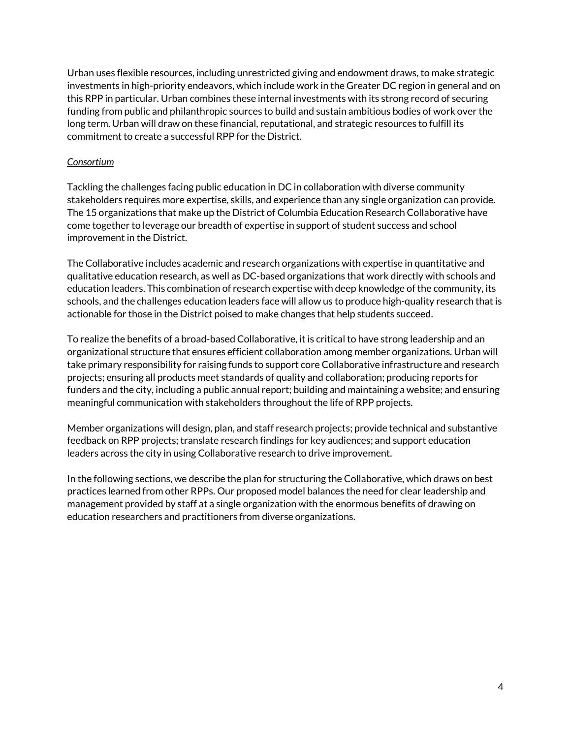Urban uses flexible resources, including unrestricted giving and endowment draws, to make strategic investments in high-priority endeavors, which include work in the Greater DC region in general and on this RPP in particular. Urban combines these internal investments with its strong record of securing funding from public and philanthropic sources to build and sustain ambitious bodies of work over the long term. Urban will draw on these financial, reputational, and strategic resources to fulfill its commitment to create a successful RPP for the District.

#### *Consortium*

Tackling the challenges facing public education in DC in collaboration with diverse community stakeholders requires more expertise, skills, and experience than any single organization can provide. The 15 organizations that make up the District of Columbia Education Research Collaborative have come together to leverage our breadth of expertise in support of student success and school improvement in the District.

The Collaborative includes academic and research organizations with expertise in quantitative and qualitative education research, as well as DC-based organizations that work directly with schools and education leaders. This combination of research expertise with deep knowledge of the community, its schools, and the challenges education leaders face will allow us to produce high-quality research that is actionable for those in the District poised to make changes that help students succeed.

To realize the benefits of a broad-based Collaborative, it is critical to have strong leadership and an organizational structure that ensures efficient collaboration among member organizations. Urban will take primary responsibility for raising funds to support core Collaborative infrastructure and research projects; ensuring all products meet standards of quality and collaboration; producing reports for funders and the city, including a public annual report; building and maintaining a website; and ensuring meaningful communication with stakeholders throughout the life of RPP projects.

Member organizations will design, plan, and staff research projects; provide technical and substantive feedback on RPP projects; translate research findings for key audiences; and support education leaders across the city in using Collaborative research to drive improvement.

<span id="page-5-0"></span>In the following sections, we describe the plan for structuring the Collaborative, which draws on best practices learned from other RPPs. Our proposed model balances the need for clear leadership and management provided by staff at a single organization with the enormous benefits of drawing on education researchers and practitioners from diverse organizations.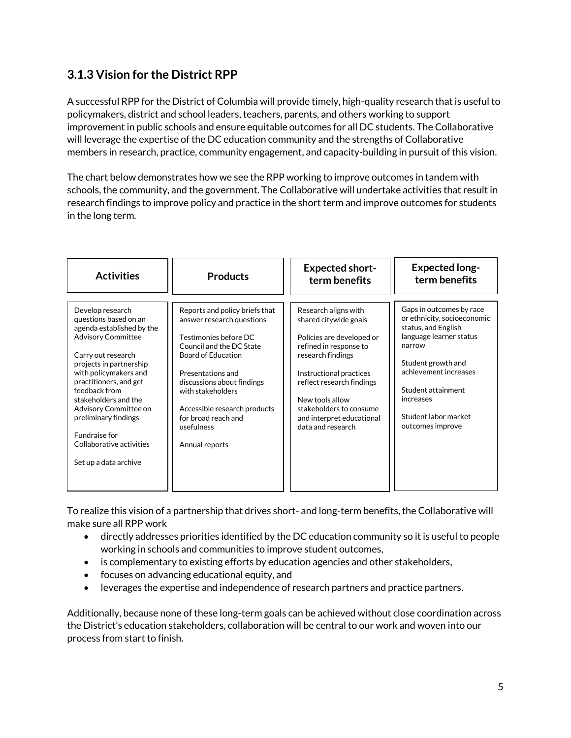# **3.1.3 Vision for the District RPP**

A successful RPP for the District of Columbia will provide timely, high-quality research that is useful to policymakers, district and school leaders, teachers, parents, and others working to support improvement in public schools and ensure equitable outcomes for all DC students. The Collaborative will leverage the expertise of the DC education community and the strengths of Collaborative members in research, practice, community engagement, and capacity-building in pursuit of this vision.

The chart below demonstrates how we see the RPP working to improve outcomes in tandem with schools, the community, and the government. The Collaborative will undertake activities that result in research findings to improve policy and practice in the short term and improve outcomes for students in the long term.

| <b>Activities</b>                                                                                                                                                                                                                                                                                                                                                       | <b>Products</b>                                                                                                                                                                                                                                                                                              | <b>Expected short-</b><br>term benefits                                                                                                                                                                                                                                           | <b>Expected long-</b><br>term benefits                                                                                                                                                                                                            |
|-------------------------------------------------------------------------------------------------------------------------------------------------------------------------------------------------------------------------------------------------------------------------------------------------------------------------------------------------------------------------|--------------------------------------------------------------------------------------------------------------------------------------------------------------------------------------------------------------------------------------------------------------------------------------------------------------|-----------------------------------------------------------------------------------------------------------------------------------------------------------------------------------------------------------------------------------------------------------------------------------|---------------------------------------------------------------------------------------------------------------------------------------------------------------------------------------------------------------------------------------------------|
| Develop research<br>questions based on an<br>agenda established by the<br><b>Advisory Committee</b><br>Carry out research<br>projects in partnership<br>with policymakers and<br>practitioners, and get<br>feedback from<br>stakeholders and the<br>Advisory Committee on<br>preliminary findings<br>Fundraise for<br>Collaborative activities<br>Set up a data archive | Reports and policy briefs that<br>answer research questions<br>Testimonies before DC<br>Council and the DC State<br><b>Board of Education</b><br>Presentations and<br>discussions about findings<br>with stakeholders<br>Accessible research products<br>for broad reach and<br>usefulness<br>Annual reports | Research aligns with<br>shared citywide goals<br>Policies are developed or<br>refined in response to<br>research findings<br>Instructional practices<br>reflect research findings<br>New tools allow<br>stakeholders to consume<br>and interpret educational<br>data and research | Gaps in outcomes by race<br>or ethnicity, socioeconomic<br>status, and English<br>language learner status<br>narrow<br>Student growth and<br>achievement increases<br>Student attainment<br>increases<br>Student labor market<br>outcomes improve |

To realize this vision of a partnership that drives short- and long-term benefits, the Collaborative will make sure all RPP work

- directly addresses priorities identified by the DC education community so it is useful to people working in schools and communities to improve student outcomes,
- is complementary to existing efforts by education agencies and other stakeholders,
- focuses on advancing educational equity, and
- leverages the expertise and independence of research partners and practice partners.

Additionally, because none of these long-term goals can be achieved without close coordination across the District's education stakeholders, collaboration will be central to our work and woven into our process from start to finish.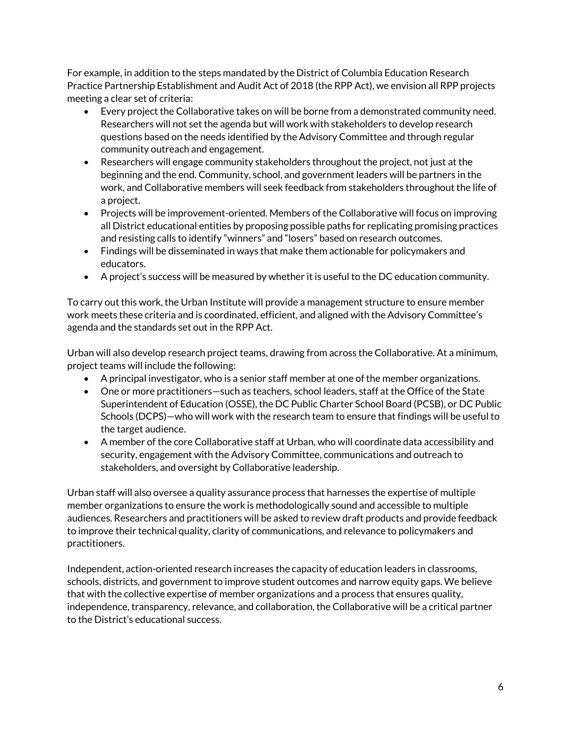For example, in addition to the steps mandated by the District of Columbia Education Research Practice Partnership Establishment and Audit Act of 2018 (the RPP Act), we envision all RPP projects meeting a clear set of criteria:

- Every project the Collaborative takes on will be borne from a demonstrated community need. Researchers will not set the agenda but will work with stakeholders to develop research questions based on the needs identified by the Advisory Committee and through regular community outreach and engagement.
- Researchers will engage community stakeholders throughout the project, not just at the beginning and the end. Community, school, and government leaders will be partners in the work, and Collaborative members will seek feedback from stakeholders throughout the life of a project.
- Projects will be improvement-oriented. Members of the Collaborative will focus on improving all District educational entities by proposing possible paths for replicating promising practices and resisting calls to identify "winners" and "losers" based on research outcomes.
- Findings will be disseminated in ways that make them actionable for policymakers and educators.
- A project's success will be measured by whether it is useful to the DC education community.

To carry out this work, the Urban Institute will provide a management structure to ensure member work meets these criteria and is coordinated, efficient, and aligned with the Advisory Committee's agenda and the standards set out in the RPP Act.

Urban will also develop research project teams, drawing from across the Collaborative. At a minimum, project teams will include the following:

- A principal investigator, who is a senior staff member at one of the member organizations.
- One or more practitioners—such as teachers, school leaders, staff at the Office of the State Superintendent of Education (OSSE), the DC Public Charter School Board (PCSB), or DC Public Schools (DCPS)—who will work with the research team to ensure that findings will be useful to the target audience.
- A member of the core Collaborative staff at Urban, who will coordinate data accessibility and security, engagement with the Advisory Committee, communications and outreach to stakeholders, and oversight by Collaborative leadership.

Urban staff will also oversee a quality assurance process that harnesses the expertise of multiple member organizations to ensure the work is methodologically sound and accessible to multiple audiences. Researchers and practitioners will be asked to review draft products and provide feedback to improve their technical quality, clarity of communications, and relevance to policymakers and practitioners.

Independent, action-oriented research increases the capacity of education leaders in classrooms, schools, districts, and government to improve student outcomes and narrow equity gaps. We believe that with the collective expertise of member organizations and a process that ensures quality, independence, transparency, relevance, and collaboration, the Collaborative will be a critical partner to the District's educational success.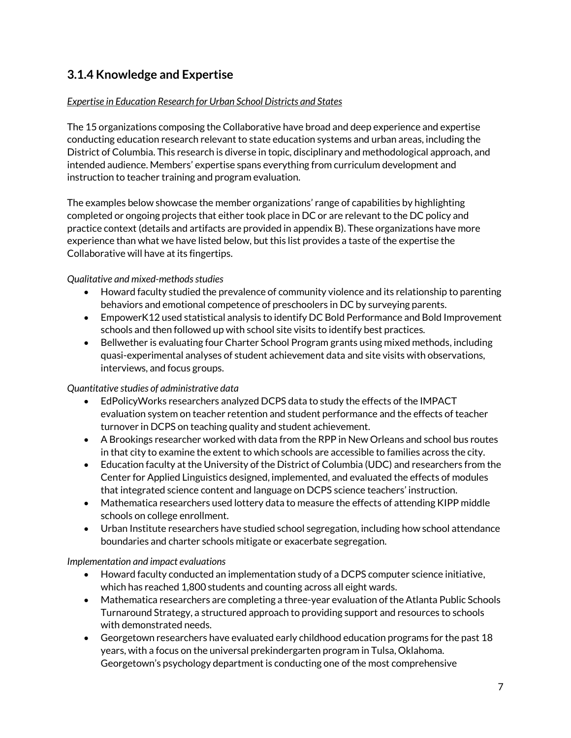# <span id="page-8-0"></span>**3.1.4 Knowledge and Expertise**

## *Expertise in Education Research for Urban School Districts and States*

The 15 organizations composing the Collaborative have broad and deep experience and expertise conducting education research relevant to state education systems and urban areas, including the District of Columbia. This research is diverse in topic, disciplinary and methodological approach, and intended audience. Members' expertise spans everything from curriculum development and instruction to teacher training and program evaluation.

The examples below showcase the member organizations' range of capabilities by highlighting completed or ongoing projects that either took place in DC or are relevant to the DC policy and practice context (details and artifacts are provided in appendix B). These organizations have more experience than what we have listed below, but this list provides a taste of the expertise the Collaborative will have at its fingertips.

*Qualitative and mixed-methods studies* 

- Howard faculty studied the prevalence of community violence and its relationship to parenting behaviors and emotional competence of preschoolers in DC by surveying parents.
- EmpowerK12 used statistical analysis to identify DC Bold Performance and Bold Improvement schools and then followed up with school site visits to identify best practices.
- Bellwether is evaluating four Charter School Program grants using mixed methods, including quasi-experimental analyses of student achievement data and site visits with observations, interviews, and focus groups.

#### *Quantitative studies of administrative data*

- EdPolicyWorks researchers analyzed DCPS data to study the effects of the IMPACT evaluation system on teacher retention and student performance and the effects of teacher turnover in DCPS on teaching quality and student achievement.
- A Brookings researcher worked with data from the RPP in New Orleans and school bus routes in that city to examine the extent to which schools are accessible to families across the city.
- Education faculty at the University of the District of Columbia (UDC) and researchers from the Center for Applied Linguistics designed, implemented, and evaluated the effects of modules that integrated science content and language on DCPS science teachers' instruction.
- Mathematica researchers used lottery data to measure the effects of attending KIPP middle schools on college enrollment.
- Urban Institute researchers have studied school segregation, including how school attendance boundaries and charter schools mitigate or exacerbate segregation.

#### *Implementation and impact evaluations*

- Howard faculty conducted an implementation study of a DCPS computer science initiative, which has reached 1,800 students and counting across all eight wards.
- Mathematica researchers are completing a three-year evaluation of the Atlanta Public Schools Turnaround Strategy, a structured approach to providing support and resources to schools with demonstrated needs.
- Georgetown researchers have evaluated early childhood education programs for the past 18 years, with a focus on the universal prekindergarten program in Tulsa, Oklahoma. Georgetown's psychology department is conducting one of the most comprehensive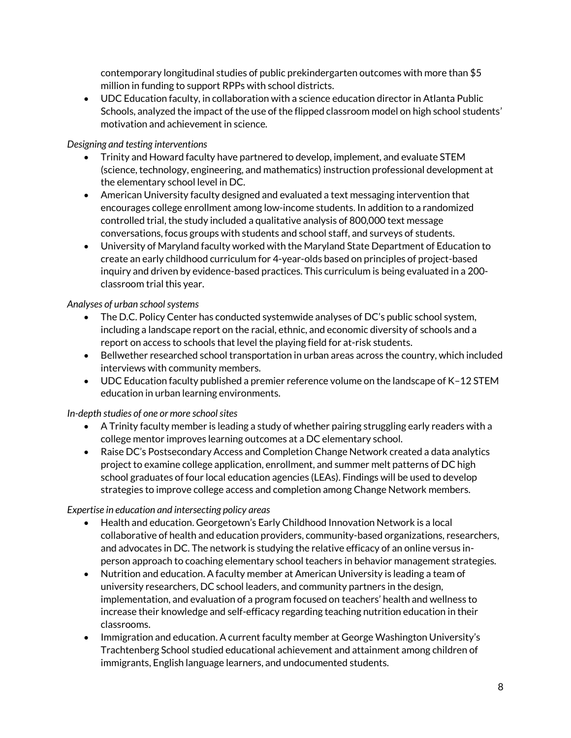contemporary longitudinal studies of public prekindergarten outcomes with more than \$5 million in funding to support RPPs with school districts.

 UDC Education faculty, in collaboration with a science education director in Atlanta Public Schools, analyzed the impact of the use of the flipped classroom model on high school students' motivation and achievement in science.

## *Designing and testing interventions*

- Trinity and Howard faculty have partnered to develop, implement, and evaluate STEM (science, technology, engineering, and mathematics) instruction professional development at the elementary school level in DC.
- American University faculty designed and evaluated a text messaging intervention that encourages college enrollment among low-income students. In addition to a randomized controlled trial, the study included a qualitative analysis of 800,000 text message conversations, focus groups with students and school staff, and surveys of students.
- University of Maryland faculty worked with the Maryland State Department of Education to create an early childhood curriculum for 4-year-olds based on principles of project-based inquiry and driven by evidence-based practices. This curriculum is being evaluated in a 200 classroom trial this year.

# *Analyses of urban school systems*

- The D.C. Policy Center has conducted systemwide analyses of DC's public school system, including a landscape report on the racial, ethnic, and economic diversity of schools and a report on access to schools that level the playing field for at-risk students.
- Bellwether researched school transportation in urban areas across the country, which included interviews with community members.
- UDC Education faculty published a premier reference volume on the landscape of K–12 STEM education in urban learning environments.

*In-depth studies of one or more school sites*

- A Trinity faculty member is leading a study of whether pairing struggling early readers with a college mentor improves learning outcomes at a DC elementary school.
- Raise DC's Postsecondary Access and Completion Change Network created a data analytics project to examine college application, enrollment, and summer melt patterns of DC high school graduates of four local education agencies (LEAs). Findings will be used to develop strategies to improve college access and completion among Change Network members.

# *Expertise in education and intersecting policy areas*

- Health and education. Georgetown's Early Childhood Innovation Network is a local collaborative of health and education providers, community-based organizations, researchers, and advocates in DC. The network is studying the relative efficacy of an online versus inperson approach to coaching elementary school teachers in behavior management strategies.
- Nutrition and education. A faculty member at American University is leading a team of university researchers, DC school leaders, and community partners in the design, implementation, and evaluation of a program focused on teachers' health and wellness to increase their knowledge and self-efficacy regarding teaching nutrition education in their classrooms.
- Immigration and education. A current faculty member at George Washington University's Trachtenberg School studied educational achievement and attainment among children of immigrants, English language learners, and undocumented students.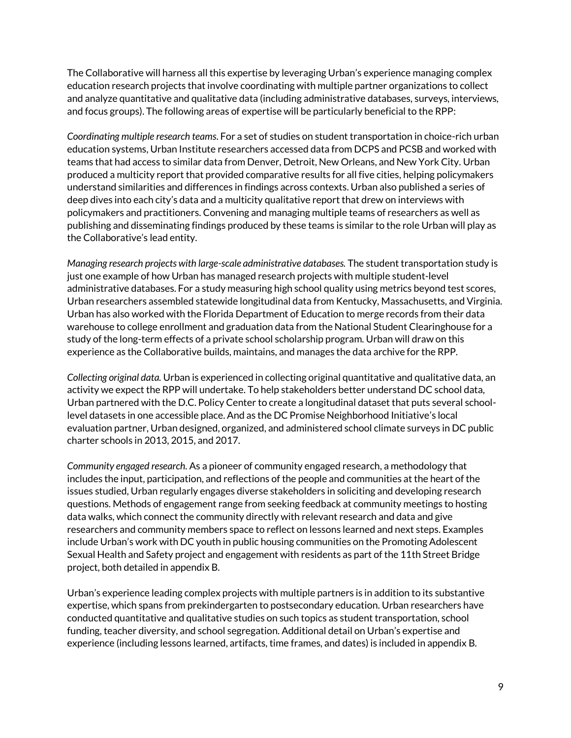The Collaborative will harness all this expertise by leveraging Urban's experience managing complex education research projects that involve coordinating with multiple partner organizations to collect and analyze quantitative and qualitative data (including administrative databases, surveys, interviews, and focus groups). The following areas of expertise will be particularly beneficial to the RPP:

*Coordinating multiple research teams*. For a set of studies on student transportation in choice-rich urban education systems, Urban Institute researchers accessed data from DCPS and PCSB and worked with teams that had access to similar data from Denver, Detroit, New Orleans, and New York City. Urban produced a multicity report that provided comparative results for all five cities, helping policymakers understand similarities and differences in findings across contexts. Urban also published a series of deep dives into each city's data and a multicity qualitative report that drew on interviews with policymakers and practitioners. Convening and managing multiple teams of researchers as well as publishing and disseminating findings produced by these teams is similar to the role Urban will play as the Collaborative's lead entity.

*Managing research projects with large-scale administrative databases.* The student transportation study is just one example of how Urban has managed research projects with multiple student-level administrative databases. For a study measuring high school quality using metrics beyond test scores, Urban researchers assembled statewide longitudinal data from Kentucky, Massachusetts, and Virginia. Urban has also worked with the Florida Department of Education to merge records from their data warehouse to college enrollment and graduation data from the National Student Clearinghouse for a study of the long-term effects of a private school scholarship program. Urban will draw on this experience as the Collaborative builds, maintains, and manages the data archive for the RPP.

*Collecting original data.* Urban is experienced in collecting original quantitative and qualitative data, an activity we expect the RPP will undertake. To help stakeholders better understand DC school data, Urban partnered with the D.C. Policy Center to create a longitudinal dataset that puts several schoollevel datasets in one accessible place. And as the DC Promise Neighborhood Initiative's local evaluation partner, Urban designed, organized, and administered school climate surveys in DC public charter schools in 2013, 2015, and 2017.

*Community engaged research.* As a pioneer of community engaged research, a methodology that includes the input, participation, and reflections of the people and communities at the heart of the issues studied, Urban regularly engages diverse stakeholders in soliciting and developing research questions. Methods of engagement range from seeking feedback at community meetings to hosting data walks, which connect the community directly with relevant research and data and give researchers and community members space to reflect on lessons learned and next steps. Examples include Urban's work with DC youth in public housing communities on the Promoting Adolescent Sexual Health and Safety project and engagement with residents as part of the 11th Street Bridge project, both detailed in appendix B.

Urban's experience leading complex projects with multiple partners is in addition to its substantive expertise, which spans from prekindergarten to postsecondary education. Urban researchers have conducted quantitative and qualitative studies on such topics as student transportation, school funding, teacher diversity, and school segregation. Additional detail on Urban's expertise and experience (including lessons learned, artifacts, time frames, and dates) is included in appendix B.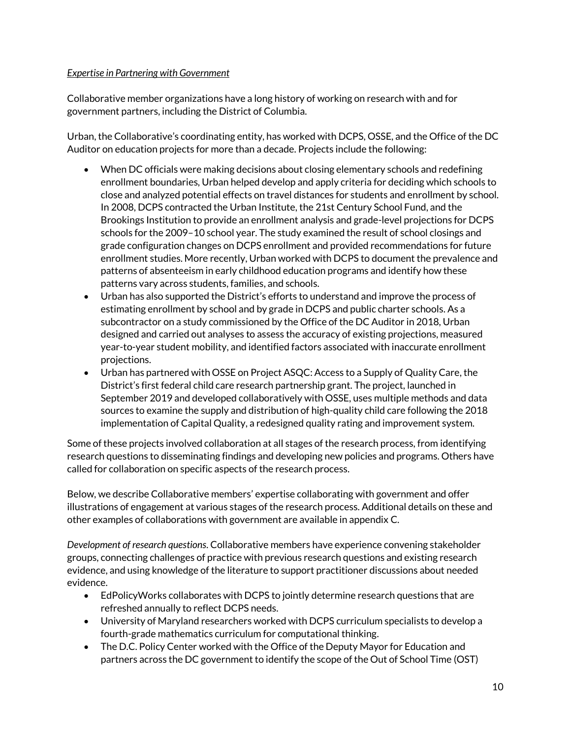#### *Expertise in Partnering with Government*

Collaborative member organizations have a long history of working on research with and for government partners, including the District of Columbia.

Urban, the Collaborative's coordinating entity, has worked with DCPS, OSSE, and the Office of the DC Auditor on education projects for more than a decade. Projects include the following:

- When DC officials were making decisions about closing elementary schools and redefining enrollment boundaries, Urban helped develop and apply criteria for deciding which schools to close and analyzed potential effects on travel distances for students and enrollment by school. In 2008, DCPS contracted the Urban Institute, the 21st Century School Fund, and the Brookings Institution to provide an enrollment analysis and grade-level projections for DCPS schools for the 2009–10 school year. The study examined the result of school closings and grade configuration changes on DCPS enrollment and provided recommendations for future enrollment studies. More recently, Urban worked with DCPS to document the prevalence and patterns of absenteeism in early childhood education programs and identify how these patterns vary across students, families, and schools.
- Urban has also supported the District's efforts to understand and improve the process of estimating enrollment by school and by grade in DCPS and public charter schools. As a subcontractor on a study commissioned by the Office of the DC Auditor in 2018, Urban designed and carried out analyses to assess the accuracy of existing projections, measured year-to-year student mobility, and identified factors associated with inaccurate enrollment projections.
- Urban has partnered with OSSE on Project ASQC: Access to a Supply of Quality Care, the District's first federal child care research partnership grant. The project, launched in September 2019 and developed collaboratively with OSSE, uses multiple methods and data sources to examine the supply and distribution of high-quality child care following the 2018 implementation of Capital Quality, a redesigned quality rating and improvement system.

Some of these projects involved collaboration at all stages of the research process, from identifying research questions to disseminating findings and developing new policies and programs. Others have called for collaboration on specific aspects of the research process.

Below, we describe Collaborative members' expertise collaborating with government and offer illustrations of engagement at various stages of the research process. Additional details on these and other examples of collaborations with government are available in appendix C.

*Development of research questions*. Collaborative members have experience convening stakeholder groups, connecting challenges of practice with previous research questions and existing research evidence, and using knowledge of the literature to support practitioner discussions about needed evidence.

- EdPolicyWorks collaborates with DCPS to jointly determine research questions that are refreshed annually to reflect DCPS needs.
- University of Maryland researchers worked with DCPS curriculum specialists to develop a fourth-grade mathematics curriculum for computational thinking.
- The D.C. Policy Center worked with the Office of the Deputy Mayor for Education and partners across the DC government to identify the scope of the Out of School Time (OST)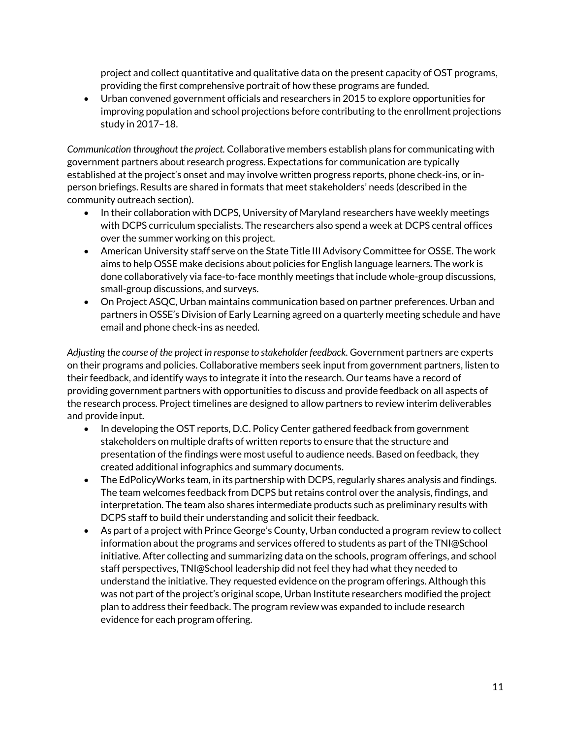project and collect quantitative and qualitative data on the present capacity of OST programs, providing the first comprehensive portrait of how these programs are funded.

 Urban convened government officials and researchers in 2015 to explore opportunities for improving population and school projections before contributing to the enrollment projections study in 2017–18.

*Communication throughout the project.* Collaborative members establish plans for communicating with government partners about research progress. Expectations for communication are typically established at the project's onset and may involve written progress reports, phone check-ins, or inperson briefings. Results are shared in formats that meet stakeholders' needs (described in the community outreach section).

- In their collaboration with DCPS, University of Maryland researchers have weekly meetings with DCPS curriculum specialists. The researchers also spend a week at DCPS central offices over the summer working on this project.
- American University staff serve on the State Title III Advisory Committee for OSSE. The work aims to help OSSE make decisions about policies for English language learners. The work is done collaboratively via face-to-face monthly meetings that include whole-group discussions, small-group discussions, and surveys.
- On Project ASQC, Urban maintains communication based on partner preferences. Urban and partners in OSSE's Division of Early Learning agreed on a quarterly meeting schedule and have email and phone check-ins as needed.

*Adjusting the course of the project in response to stakeholder feedback.* Government partners are experts on their programs and policies. Collaborative members seek input from government partners, listen to their feedback, and identify ways to integrate it into the research. Our teams have a record of providing government partners with opportunities to discuss and provide feedback on all aspects of the research process. Project timelines are designed to allow partners to review interim deliverables and provide input.

- In developing the OST reports, D.C. Policy Center gathered feedback from government stakeholders on multiple drafts of written reports to ensure that the structure and presentation of the findings were most useful to audience needs. Based on feedback, they created additional infographics and summary documents.
- The EdPolicyWorks team, in its partnership with DCPS, regularly shares analysis and findings. The team welcomes feedback from DCPS but retains control over the analysis, findings, and interpretation. The team also shares intermediate products such as preliminary results with DCPS staff to build their understanding and solicit their feedback.
- As part of a project with Prince George's County, Urban conducted a program review to collect information about the programs and services offered to students as part of the TNI@School initiative. After collecting and summarizing data on the schools, program offerings, and school staff perspectives, TNI@School leadership did not feel they had what they needed to understand the initiative. They requested evidence on the program offerings. Although this was not part of the project's original scope, Urban Institute researchers modified the project plan to address their feedback. The program review was expanded to include research evidence for each program offering.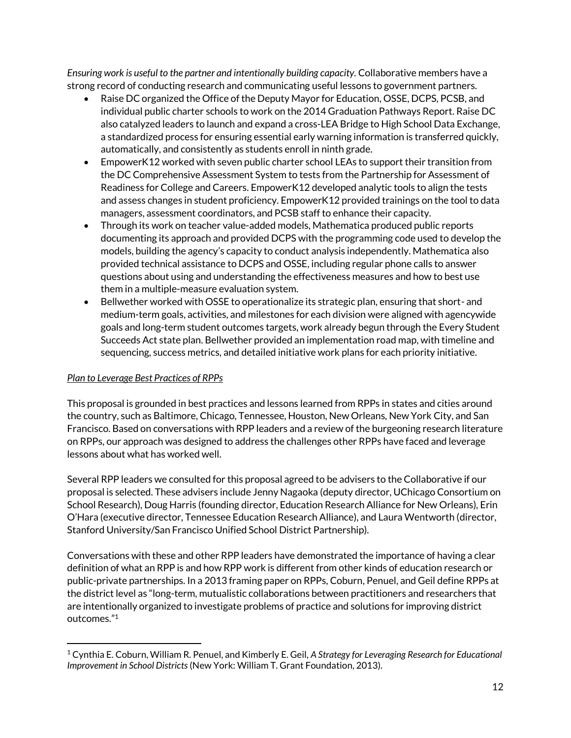*Ensuring work is useful to the partner and intentionally building capacity.* Collaborative members have a strong record of conducting research and communicating useful lessons to government partners.

- Raise DC organized the Office of the Deputy Mayor for Education, OSSE, DCPS, PCSB, and individual public charter schools to work on the 2014 Graduation Pathways Report. Raise DC also catalyzed leaders to launch and expand a cross-LEA Bridge to High School Data Exchange, a standardized process for ensuring essential early warning information is transferred quickly, automatically, and consistently as students enroll in ninth grade.
- EmpowerK12 worked with seven public charter school LEAs to support their transition from the DC Comprehensive Assessment System to tests from the Partnership for Assessment of Readiness for College and Careers. EmpowerK12 developed analytic tools to align the tests and assess changes in student proficiency. EmpowerK12 provided trainings on the tool to data managers, assessment coordinators, and PCSB staff to enhance their capacity.
- Through its work on teacher value-added models, Mathematica produced public reports documenting its approach and provided DCPS with the programming code used to develop the models, building the agency's capacity to conduct analysis independently. Mathematica also provided technical assistance to DCPS and OSSE, including regular phone calls to answer questions about using and understanding the effectiveness measures and how to best use them in a multiple-measure evaluation system.
- Bellwether worked with OSSE to operationalize its strategic plan, ensuring that short- and medium-term goals, activities, and milestones for each division were aligned with agencywide goals and long-term student outcomes targets, work already begun through the Every Student Succeeds Act state plan. Bellwether provided an implementation road map, with timeline and sequencing, success metrics, and detailed initiative work plans for each priority initiative.

#### *Plan to Leverage Best Practices of RPPs*

l

This proposal is grounded in best practices and lessons learned from RPPs in states and cities around the country, such as Baltimore, Chicago, Tennessee, Houston, New Orleans, New York City, and San Francisco. Based on conversations with RPP leaders and a review of the burgeoning research literature on RPPs, our approach was designed to address the challenges other RPPs have faced and leverage lessons about what has worked well.

Several RPP leaders we consulted for this proposal agreed to be advisers to the Collaborative if our proposal is selected. These advisers include Jenny Nagaoka (deputy director, UChicago Consortium on School Research), Doug Harris (founding director, Education Research Alliance for New Orleans), Erin O'Hara (executive director, Tennessee Education Research Alliance), and Laura Wentworth (director, Stanford University/San Francisco Unified School District Partnership).

Conversations with these and other RPP leaders have demonstrated the importance of having a clear definition of what an RPP is and how RPP work is different from other kinds of education research or public-private partnerships. In a 2013 framing paper on RPPs, Coburn, Penuel, and Geil define RPPs at the district level as "long-term, mutualistic collaborations between practitioners and researchers that are intentionally organized to investigate problems of practice and solutions for improving district outcomes." 1

<sup>1</sup> Cynthia E. Coburn, William R. Penuel, and Kimberly E. Geil, *A Strategy for Leveraging Research for Educational Improvement in School Districts* (New York: William T. Grant Foundation, 2013).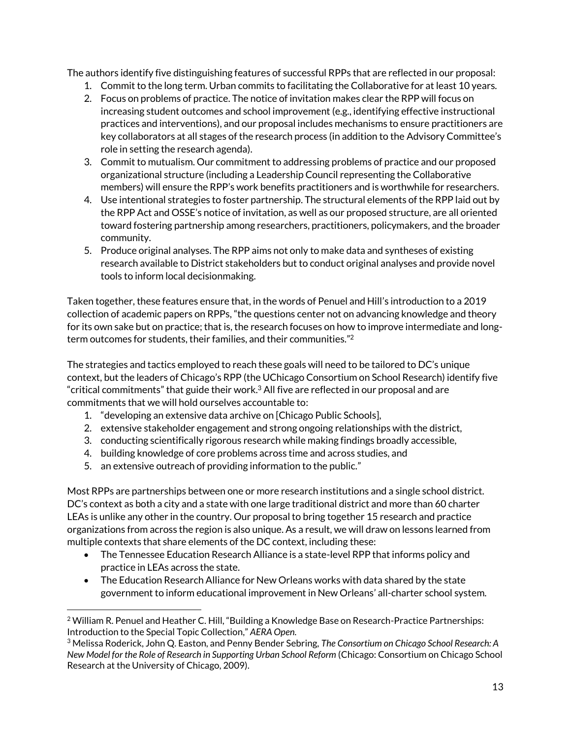The authors identify five distinguishing features of successful RPPs that are reflected in our proposal:

- 1. Commit to the long term. Urban commits to facilitating the Collaborative for at least 10 years.
- 2. Focus on problems of practice. The notice of invitation makes clear the RPP will focus on increasing student outcomes and school improvement (e.g., identifying effective instructional practices and interventions), and our proposal includes mechanisms to ensure practitioners are key collaborators at all stages of the research process (in addition to the Advisory Committee's role in setting the research agenda).
- 3. Commit to mutualism. Our commitment to addressing problems of practice and our proposed organizational structure (including a Leadership Council representing the Collaborative members) will ensure the RPP's work benefits practitioners and is worthwhile for researchers.
- 4. Use intentional strategies to foster partnership. The structural elements of the RPP laid out by the RPP Act and OSSE's notice of invitation, as well as our proposed structure, are all oriented toward fostering partnership among researchers, practitioners, policymakers, and the broader community.
- 5. Produce original analyses. The RPP aims not only to make data and syntheses of existing research available to District stakeholders but to conduct original analyses and provide novel tools to inform local decisionmaking.

Taken together, these features ensure that, in the words of Penuel and Hill's introduction to a 2019 collection of academic papers on RPPs, "the questions center not on advancing knowledge and theory for its own sake but on practice; that is, the research focuses on how to improve intermediate and longterm outcomes for students, their families, and their communities." 2

The strategies and tactics employed to reach these goals will need to be tailored to DC's unique context, but the leaders of Chicago's RPP (the UChicago Consortium on School Research) identify five "critical commitments" that guide their work. $3$  All five are reflected in our proposal and are commitments that we will hold ourselves accountable to:

- 1. "developing an extensive data archive on [Chicago Public Schools],
- 2. extensive stakeholder engagement and strong ongoing relationships with the district,
- 3. conducting scientifically rigorous research while making findings broadly accessible,
- 4. building knowledge of core problems across time and across studies, and
- 5. an extensive outreach of providing information to the public."

l

Most RPPs are partnerships between one or more research institutions and a single school district. DC's context as both a city and a state with one large traditional district and more than 60 charter LEAs is unlike any other in the country. Our proposal to bring together 15 research and practice organizations from across the region is also unique. As a result, we will draw on lessons learned from multiple contexts that share elements of the DC context, including these:

- The Tennessee Education Research Alliance is a state-level RPP that informs policy and practice in LEAs across the state.
- The Education Research Alliance for New Orleans works with data shared by the state government to inform educational improvement in New Orleans' all-charter school system.

 $2$  William R. Penuel and Heather C. Hill, "Building a Knowledge Base on Research-Practice Partnerships: Introduction to the Special Topic Collection," *AERA Open.*

<sup>3</sup> Melissa Roderick, John Q. Easton, and Penny Bender Sebring, *The Consortium on Chicago School Research: A New Model for the Role of Research in Supporting Urban School Reform* (Chicago: Consortium on Chicago School Research at the University of Chicago, 2009).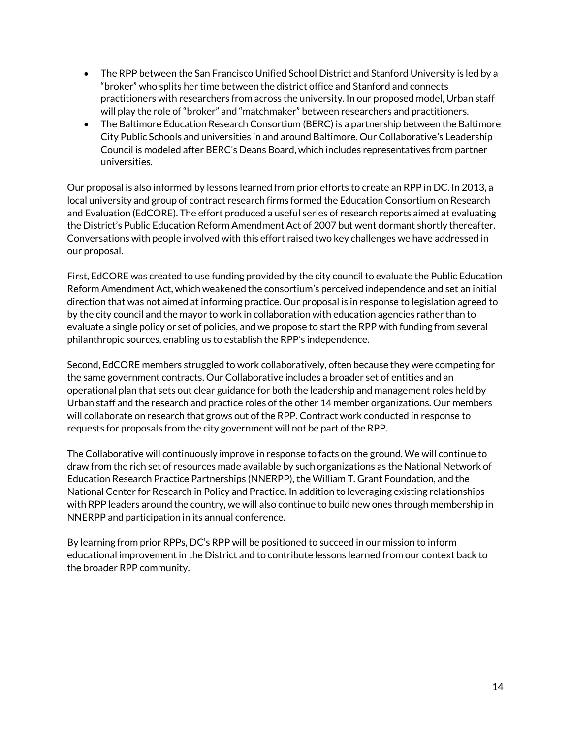- The RPP between the San Francisco Unified School District and Stanford University is led by a "broker" who splits her time between the district office and Stanford and connects practitioners with researchers from across the university. In our proposed model, Urban staff will play the role of "broker" and "matchmaker" between researchers and practitioners.
- The Baltimore Education Research Consortium (BERC) is a partnership between the Baltimore City Public Schools and universities in and around Baltimore. Our Collaborative's Leadership Council is modeled after BERC's Deans Board, which includes representatives from partner universities.

Our proposal is also informed by lessons learned from prior efforts to create an RPP in DC. In 2013, a local university and group of contract research firms formed the Education Consortium on Research and Evaluation (EdCORE). The effort produced a useful series of research reports aimed at evaluating the District's Public Education Reform Amendment Act of 2007 but went dormant shortly thereafter. Conversations with people involved with this effort raised two key challenges we have addressed in our proposal.

First, EdCORE was created to use funding provided by the city council to evaluate the Public Education Reform Amendment Act, which weakened the consortium's perceived independence and set an initial direction that was not aimed at informing practice. Our proposal is in response to legislation agreed to by the city council and the mayor to work in collaboration with education agencies rather than to evaluate a single policy or set of policies, and we propose to start the RPP with funding from several philanthropic sources, enabling us to establish the RPP's independence.

Second, EdCORE members struggled to work collaboratively, often because they were competing for the same government contracts. Our Collaborative includes a broader set of entities and an operational plan that sets out clear guidance for both the leadership and management roles held by Urban staff and the research and practice roles of the other 14 member organizations. Our members will collaborate on research that grows out of the RPP. Contract work conducted in response to requests for proposals from the city government will not be part of the RPP.

The Collaborative will continuously improve in response to facts on the ground. We will continue to draw from the rich set of resources made available by such organizations as the National Network of Education Research Practice Partnerships (NNERPP), the William T. Grant Foundation, and the National Center for Research in Policy and Practice. In addition to leveraging existing relationships with RPP leaders around the country, we will also continue to build new ones through membership in NNERPP and participation in its annual conference.

By learning from prior RPPs, DC's RPP will be positioned to succeed in our mission to inform educational improvement in the District and to contribute lessons learned from our context back to the broader RPP community.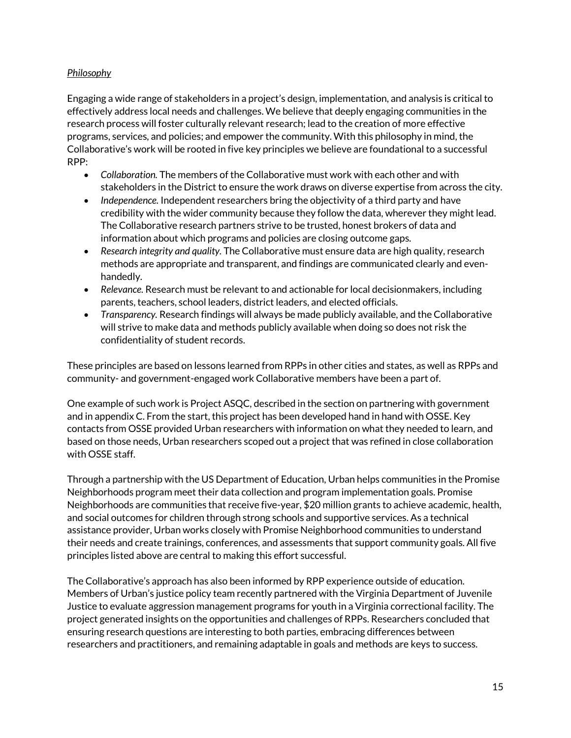## *Philosophy*

Engaging a wide range of stakeholders in a project's design, implementation, and analysis is critical to effectively address local needs and challenges. We believe that deeply engaging communities in the research process will foster culturally relevant research; lead to the creation of more effective programs, services, and policies; and empower the community. With this philosophy in mind, the Collaborative's work will be rooted in five key principles we believe are foundational to a successful RPP:

- *Collaboration.* The members of the Collaborative must work with each other and with stakeholders in the District to ensure the work draws on diverse expertise from across the city.
- *Independence.* Independent researchers bring the objectivity of a third party and have credibility with the wider community because they follow the data, wherever they might lead. The Collaborative research partners strive to be trusted, honest brokers of data and information about which programs and policies are closing outcome gaps.
- *Research integrity and quality.* The Collaborative must ensure data are high quality, research methods are appropriate and transparent, and findings are communicated clearly and evenhandedly.
- *Relevance.* Research must be relevant to and actionable for local decisionmakers, including parents, teachers, school leaders, district leaders, and elected officials.
- *Transparency.* Research findings will always be made publicly available, and the Collaborative will strive to make data and methods publicly available when doing so does not risk the confidentiality of student records.

These principles are based on lessons learned from RPPs in other cities and states, as well as RPPs and community- and government-engaged work Collaborative members have been a part of.

One example of such work is Project ASQC, described in the section on partnering with government and in appendix C. From the start, this project has been developed hand in hand with OSSE. Key contacts from OSSE provided Urban researchers with information on what they needed to learn, and based on those needs, Urban researchers scoped out a project that was refined in close collaboration with OSSE staff.

Through a partnership with the US Department of Education, Urban helps communities in the Promise Neighborhoods program meet their data collection and program implementation goals. Promise Neighborhoods are communities that receive five-year, \$20 million grants to achieve academic, health, and social outcomes for children through strong schools and supportive services. As a technical assistance provider, Urban works closely with Promise Neighborhood communities to understand their needs and create trainings, conferences, and assessments that support community goals. All five principles listed above are central to making this effort successful.

The Collaborative's approach has also been informed by RPP experience outside of education. Members of Urban's justice policy team recently partnered with the Virginia Department of Juvenile Justice to evaluate aggression management programs for youth in a Virginia correctional facility. The project generated insights on the opportunities and challenges of RPPs. Researchers concluded that ensuring research questions are interesting to both parties, embracing differences between researchers and practitioners, and remaining adaptable in goals and methods are keys to success.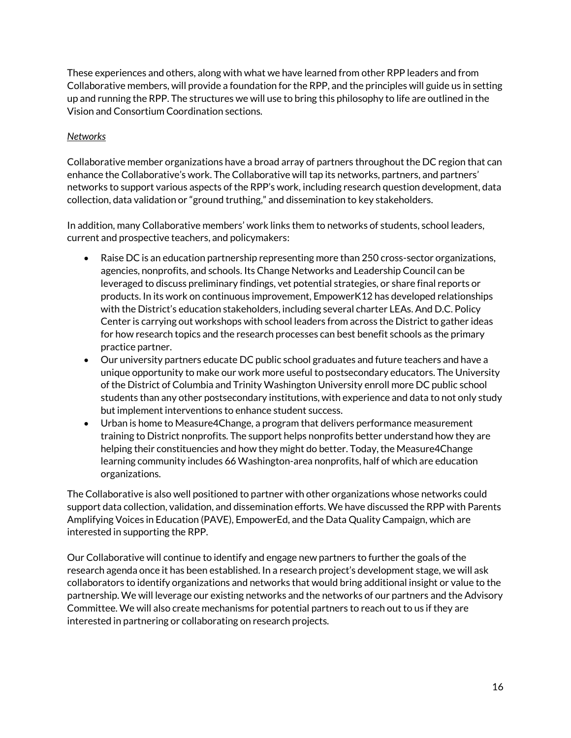These experiences and others, along with what we have learned from other RPP leaders and from Collaborative members, will provide a foundation for the RPP, and the principles will guide us in setting up and running the RPP. The structures we will use to bring this philosophy to life are outlined in the Vision and Consortium Coordination sections.

#### *Networks*

Collaborative member organizations have a broad array of partners throughout the DC region that can enhance the Collaborative's work. The Collaborative will tap its networks, partners, and partners' networks to support various aspects of the RPP's work, including research question development, data collection, data validation or "ground truthing," and dissemination to key stakeholders.

In addition, many Collaborative members' work links them to networks of students, school leaders, current and prospective teachers, and policymakers:

- Raise DC is an education partnership representing more than 250 cross-sector organizations, agencies, nonprofits, and schools. Its Change Networks and Leadership Council can be leveraged to discuss preliminary findings, vet potential strategies, or share final reports or products. In its work on continuous improvement, EmpowerK12 has developed relationships with the District's education stakeholders, including several charter LEAs. And D.C. Policy Center is carrying out workshops with school leaders from across the District to gather ideas for how research topics and the research processes can best benefit schools as the primary practice partner.
- Our university partners educate DC public school graduates and future teachers and have a unique opportunity to make our work more useful to postsecondary educators. The University of the District of Columbia and Trinity Washington University enroll more DC public school students than any other postsecondary institutions, with experience and data to not only study but implement interventions to enhance student success.
- Urban is home to Measure4Change, a program that delivers performance measurement training to District nonprofits. The support helps nonprofits better understand how they are helping their constituencies and how they might do better. Today, the Measure4Change learning community includes 66 Washington-area nonprofits, half of which are education organizations.

The Collaborative is also well positioned to partner with other organizations whose networks could support data collection, validation, and dissemination efforts. We have discussed the RPP with Parents Amplifying Voices in Education (PAVE), EmpowerEd, and the Data Quality Campaign, which are interested in supporting the RPP.

Our Collaborative will continue to identify and engage new partners to further the goals of the research agenda once it has been established. In a research project's development stage, we will ask collaborators to identify organizations and networks that would bring additional insight or value to the partnership. We will leverage our existing networks and the networks of our partners and the Advisory Committee. We will also create mechanisms for potential partners to reach out to us if they are interested in partnering or collaborating on research projects.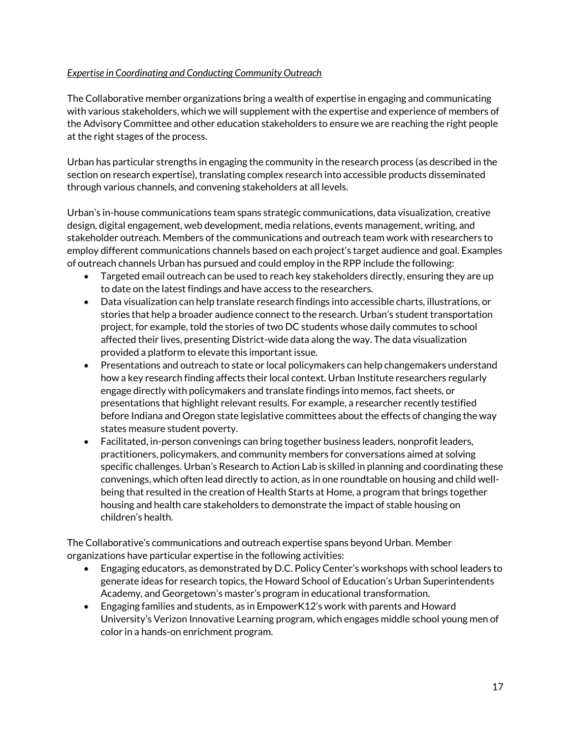#### *Expertise in Coordinating and Conducting Community Outreach*

The Collaborative member organizations bring a wealth of expertise in engaging and communicating with various stakeholders, which we will supplement with the expertise and experience of members of the Advisory Committee and other education stakeholders to ensure we are reaching the right people at the right stages of the process.

Urban has particular strengths in engaging the community in the research process (as described in the section on research expertise), translating complex research into accessible products disseminated through various channels, and convening stakeholders at all levels.

Urban's in-house communications team spans strategic communications, data visualization, creative design, digital engagement, web development, media relations, events management, writing, and stakeholder outreach. Members of the communications and outreach team work with researchers to employ different communications channels based on each project's target audience and goal. Examples of outreach channels Urban has pursued and could employ in the RPP include the following:

- Targeted email outreach can be used to reach key stakeholders directly, ensuring they are up to date on the latest findings and have access to the researchers.
- Data visualization can help translate research findings into accessible charts, illustrations, or stories that help a broader audience connect to the research. Urban's student transportation project, for example, told the stories of two DC students whose daily commutes to school affected their lives, presenting District-wide data along the way. The data visualization provided a platform to elevate this important issue.
- Presentations and outreach to state or local policymakers can help changemakers understand how a key research finding affects their local context. Urban Institute researchers regularly engage directly with policymakers and translate findings into memos, fact sheets, or presentations that highlight relevant results. For example, a researcher recently testified before Indiana and Oregon state legislative committees about the effects of changing the way states measure student poverty.
- Facilitated, in-person convenings can bring together business leaders, nonprofit leaders, practitioners, policymakers, and community members for conversations aimed at solving specific challenges. Urban's Research to Action Lab is skilled in planning and coordinating these convenings, which often lead directly to action, as in one roundtable on housing and child wellbeing that resulted in the creation of Health Starts at Home, a program that brings together housing and health care stakeholders to demonstrate the impact of stable housing on children's health.

The Collaborative's communications and outreach expertise spans beyond Urban. Member organizations have particular expertise in the following activities:

- Engaging educators, as demonstrated by D.C. Policy Center's workshops with school leaders to generate ideas for research topics, the Howard School of Education's Urban Superintendents Academy, and Georgetown's master's program in educational transformation.
- Engaging families and students, as in EmpowerK12's work with parents and Howard University's Verizon Innovative Learning program, which engages middle school young men of color in a hands-on enrichment program.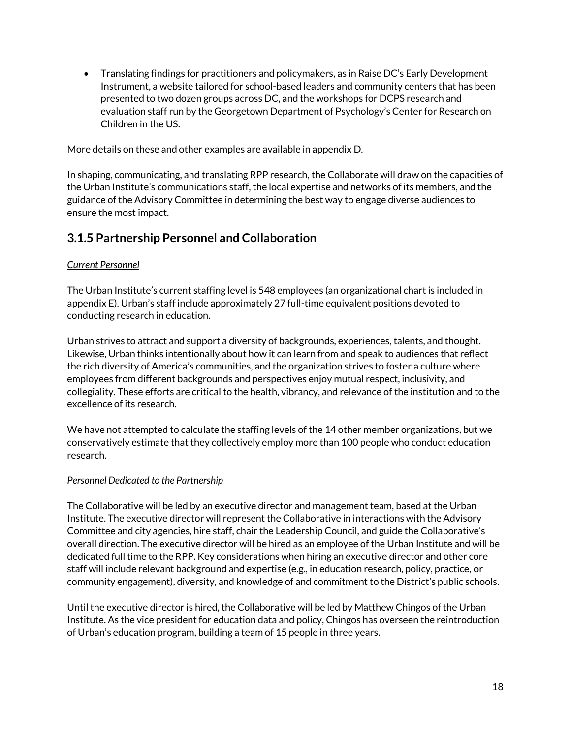Translating findings for practitioners and policymakers, as in Raise DC's Early Development Instrument, a website tailored for school-based leaders and community centers that has been presented to two dozen groups across DC, and the workshops for DCPS research and evaluation staff run by the Georgetown Department of Psychology's Center for Research on Children in the US.

More details on these and other examples are available in appendix D.

In shaping, communicating, and translating RPP research, the Collaborate will draw on the capacities of the Urban Institute's communications staff, the local expertise and networks of its members, and the guidance of the Advisory Committee in determining the best way to engage diverse audiences to ensure the most impact.

# <span id="page-19-0"></span>**3.1.5 Partnership Personnel and Collaboration**

#### *Current Personnel*

The Urban Institute's current staffing level is 548 employees (an organizational chart is included in appendix E). Urban's staff include approximately 27 full-time equivalent positions devoted to conducting research in education.

Urban strives to attract and support a diversity of backgrounds, experiences, talents, and thought. Likewise, Urban thinks intentionally about how it can learn from and speak to audiences that reflect the rich diversity of America's communities, and the organization strives to foster a culture where employees from different backgrounds and perspectives enjoy mutual respect, inclusivity, and collegiality. These efforts are critical to the health, vibrancy, and relevance of the institution and to the excellence of its research.

We have not attempted to calculate the staffing levels of the 14 other member organizations, but we conservatively estimate that they collectively employ more than 100 people who conduct education research.

#### *Personnel Dedicated to the Partnership*

The Collaborative will be led by an executive director and management team, based at the Urban Institute. The executive director will represent the Collaborative in interactions with the Advisory Committee and city agencies, hire staff, chair the Leadership Council, and guide the Collaborative's overall direction. The executive director will be hired as an employee of the Urban Institute and will be dedicated full time to the RPP. Key considerations when hiring an executive director and other core staff will include relevant background and expertise (e.g., in education research, policy, practice, or community engagement), diversity, and knowledge of and commitment to the District's public schools.

Until the executive director is hired, the Collaborative will be led by Matthew Chingos of the Urban Institute. As the vice president for education data and policy, Chingos has overseen the reintroduction of Urban's education program, building a team of 15 people in three years.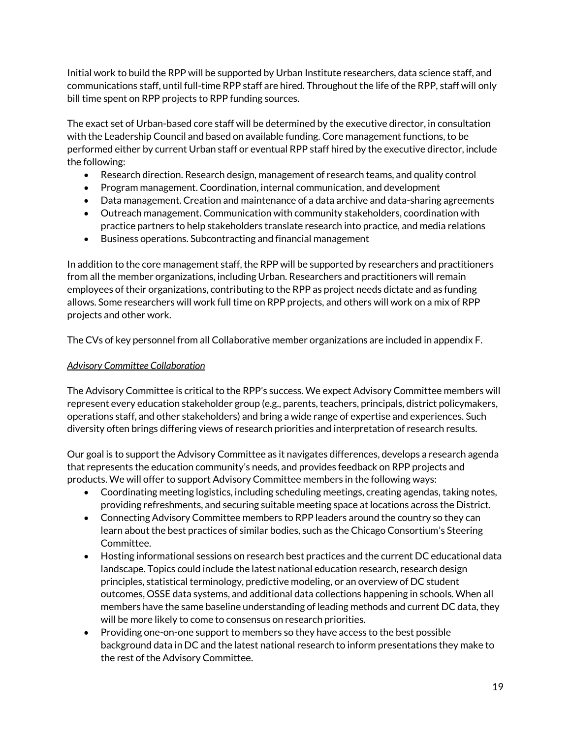Initial work to build the RPP will be supported by Urban Institute researchers, data science staff, and communications staff, until full-time RPP staff are hired. Throughout the life of the RPP, staff will only bill time spent on RPP projects to RPP funding sources.

The exact set of Urban-based core staff will be determined by the executive director, in consultation with the Leadership Council and based on available funding. Core management functions, to be performed either by current Urban staff or eventual RPP staff hired by the executive director, include the following:

- Research direction. Research design, management of research teams, and quality control
- Program management. Coordination, internal communication, and development
- Data management. Creation and maintenance of a data archive and data-sharing agreements
- Outreach management. Communication with community stakeholders, coordination with practice partners to help stakeholders translate research into practice, and media relations
- Business operations. Subcontracting and financial management

In addition to the core management staff, the RPP will be supported by researchers and practitioners from all the member organizations, including Urban. Researchers and practitioners will remain employees of their organizations, contributing to the RPP as project needs dictate and as funding allows. Some researchers will work full time on RPP projects, and others will work on a mix of RPP projects and other work.

The CVs of key personnel from all Collaborative member organizations are included in appendix F.

#### *Advisory Committee Collaboration*

The Advisory Committee is critical to the RPP's success. We expect Advisory Committee members will represent every education stakeholder group (e.g., parents, teachers, principals, district policymakers, operations staff, and other stakeholders) and bring a wide range of expertise and experiences. Such diversity often brings differing views of research priorities and interpretation of research results.

Our goal is to support the Advisory Committee as it navigates differences, develops a research agenda that represents the education community's needs, and provides feedback on RPP projects and products. We will offer to support Advisory Committee members in the following ways:

- Coordinating meeting logistics, including scheduling meetings, creating agendas, taking notes, providing refreshments, and securing suitable meeting space at locations across the District.
- Connecting Advisory Committee members to RPP leaders around the country so they can learn about the best practices of similar bodies, such as the Chicago Consortium's Steering Committee.
- Hosting informational sessions on research best practices and the current DC educational data landscape. Topics could include the latest national education research, research design principles, statistical terminology, predictive modeling, or an overview of DC student outcomes, OSSE data systems, and additional data collections happening in schools. When all members have the same baseline understanding of leading methods and current DC data, they will be more likely to come to consensus on research priorities.
- Providing one-on-one support to members so they have access to the best possible background data in DC and the latest national research to inform presentations they make to the rest of the Advisory Committee.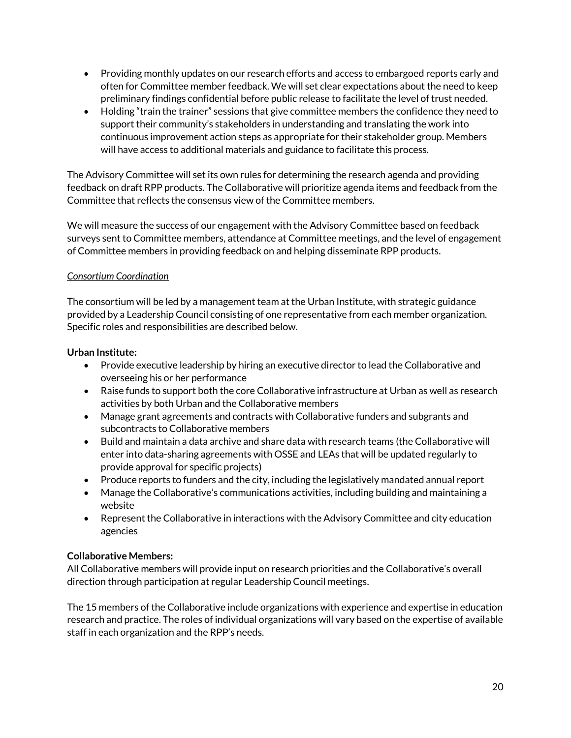- Providing monthly updates on our research efforts and access to embargoed reports early and often for Committee member feedback. We will set clear expectations about the need to keep preliminary findings confidential before public release to facilitate the level of trust needed.
- Holding "train the trainer" sessions that give committee members the confidence they need to support their community's stakeholders in understanding and translating the work into continuous improvement action steps as appropriate for their stakeholder group. Members will have access to additional materials and guidance to facilitate this process.

The Advisory Committee will set its own rules for determining the research agenda and providing feedback on draft RPP products. The Collaborative will prioritize agenda items and feedback from the Committee that reflects the consensus view of the Committee members.

We will measure the success of our engagement with the Advisory Committee based on feedback surveys sent to Committee members, attendance at Committee meetings, and the level of engagement of Committee members in providing feedback on and helping disseminate RPP products.

## *Consortium Coordination*

The consortium will be led by a management team at the Urban Institute, with strategic guidance provided by a Leadership Council consisting of one representative from each member organization. Specific roles and responsibilities are described below.

## **Urban Institute:**

- Provide executive leadership by hiring an executive director to lead the Collaborative and overseeing his or her performance
- Raise funds to support both the core Collaborative infrastructure at Urban as well as research activities by both Urban and the Collaborative members
- Manage grant agreements and contracts with Collaborative funders and subgrants and subcontracts to Collaborative members
- Build and maintain a data archive and share data with research teams (the Collaborative will enter into data-sharing agreements with OSSE and LEAs that will be updated regularly to provide approval for specific projects)
- Produce reports to funders and the city, including the legislatively mandated annual report
- Manage the Collaborative's communications activities, including building and maintaining a website
- Represent the Collaborative in interactions with the Advisory Committee and city education agencies

# **Collaborative Members:**

All Collaborative members will provide input on research priorities and the Collaborative's overall direction through participation at regular Leadership Council meetings.

The 15 members of the Collaborative include organizations with experience and expertise in education research and practice. The roles of individual organizations will vary based on the expertise of available staff in each organization and the RPP's needs.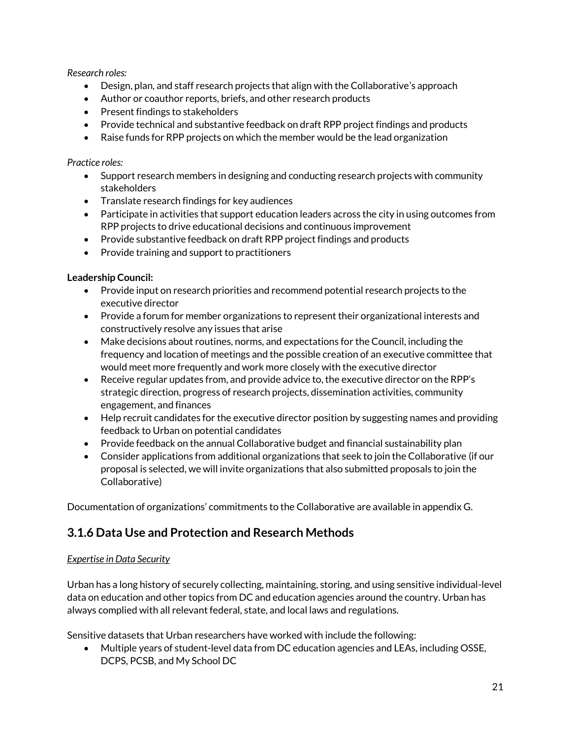*Research roles:*

- Design, plan, and staff research projects that align with the Collaborative's approach
- Author or coauthor reports, briefs, and other research products
- Present findings to stakeholders
- Provide technical and substantive feedback on draft RPP project findings and products
- Raise funds for RPP projects on which the member would be the lead organization

#### *Practice roles:*

- Support research members in designing and conducting research projects with community stakeholders
- Translate research findings for key audiences
- Participate in activities that support education leaders across the city in using outcomes from RPP projects to drive educational decisions and continuous improvement
- Provide substantive feedback on draft RPP project findings and products
- Provide training and support to practitioners

#### **Leadership Council:**

- Provide input on research priorities and recommend potential research projects to the executive director
- Provide a forum for member organizations to represent their organizational interests and constructively resolve any issues that arise
- Make decisions about routines, norms, and expectations for the Council, including the frequency and location of meetings and the possible creation of an executive committee that would meet more frequently and work more closely with the executive director
- Receive regular updates from, and provide advice to, the executive director on the RPP's strategic direction, progress of research projects, dissemination activities, community engagement, and finances
- Help recruit candidates for the executive director position by suggesting names and providing feedback to Urban on potential candidates
- Provide feedback on the annual Collaborative budget and financial sustainability plan
- Consider applications from additional organizations that seek to join the Collaborative (if our proposal is selected, we will invite organizations that also submitted proposals to join the Collaborative)

Documentation of organizations' commitments to the Collaborative are available in appendix G.

# <span id="page-22-0"></span>**3.1.6 Data Use and Protection and Research Methods**

#### *Expertise in Data Security*

Urban has a long history of securely collecting, maintaining, storing, and using sensitive individual-level data on education and other topics from DC and education agencies around the country. Urban has always complied with all relevant federal, state, and local laws and regulations.

Sensitive datasets that Urban researchers have worked with include the following:

 Multiple years of student-level data from DC education agencies and LEAs, including OSSE, DCPS, PCSB, and My School DC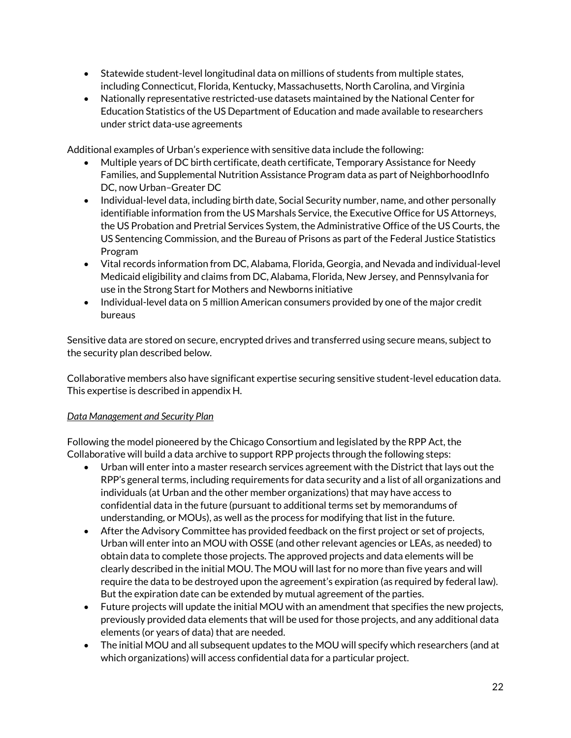- Statewide student-level longitudinal data on millions of students from multiple states, including Connecticut, Florida, Kentucky, Massachusetts, North Carolina, and Virginia
- Nationally representative restricted-use datasets maintained by the National Center for Education Statistics of the US Department of Education and made available to researchers under strict data-use agreements

Additional examples of Urban's experience with sensitive data include the following:

- Multiple years of DC birth certificate, death certificate, Temporary Assistance for Needy Families, and Supplemental Nutrition Assistance Program data as part of NeighborhoodInfo DC, now Urban–Greater DC
- Individual-level data, including birth date, Social Security number, name, and other personally identifiable information from the US Marshals Service, the Executive Office for US Attorneys, the US Probation and Pretrial Services System, the Administrative Office of the US Courts, the US Sentencing Commission, and the Bureau of Prisons as part of the Federal Justice Statistics Program
- Vital records information from DC, Alabama, Florida, Georgia, and Nevada and individual-level Medicaid eligibility and claims from DC, Alabama, Florida, New Jersey, and Pennsylvania for use in the Strong Start for Mothers and Newborns initiative
- Individual-level data on 5 million American consumers provided by one of the major credit bureaus

Sensitive data are stored on secure, encrypted drives and transferred using secure means, subject to the security plan described below.

Collaborative members also have significant expertise securing sensitive student-level education data. This expertise is described in appendix H.

# *Data Management and Security Plan*

Following the model pioneered by the Chicago Consortium and legislated by the RPP Act, the Collaborative will build a data archive to support RPP projects through the following steps:

- Urban will enter into a master research services agreement with the District that lays out the RPP's general terms, including requirements for data security and a list of all organizations and individuals (at Urban and the other member organizations) that may have access to confidential data in the future (pursuant to additional terms set by memorandums of understanding, or MOUs), as well as the process for modifying that list in the future.
- After the Advisory Committee has provided feedback on the first project or set of projects, Urban will enter into an MOU with OSSE (and other relevant agencies or LEAs, as needed) to obtain data to complete those projects. The approved projects and data elements will be clearly described in the initial MOU. The MOU will last for no more than five years and will require the data to be destroyed upon the agreement's expiration (as required by federal law). But the expiration date can be extended by mutual agreement of the parties.
- Future projects will update the initial MOU with an amendment that specifies the new projects, previously provided data elements that will be used for those projects, and any additional data elements (or years of data) that are needed.
- The initial MOU and all subsequent updates to the MOU will specify which researchers (and at which organizations) will access confidential data for a particular project.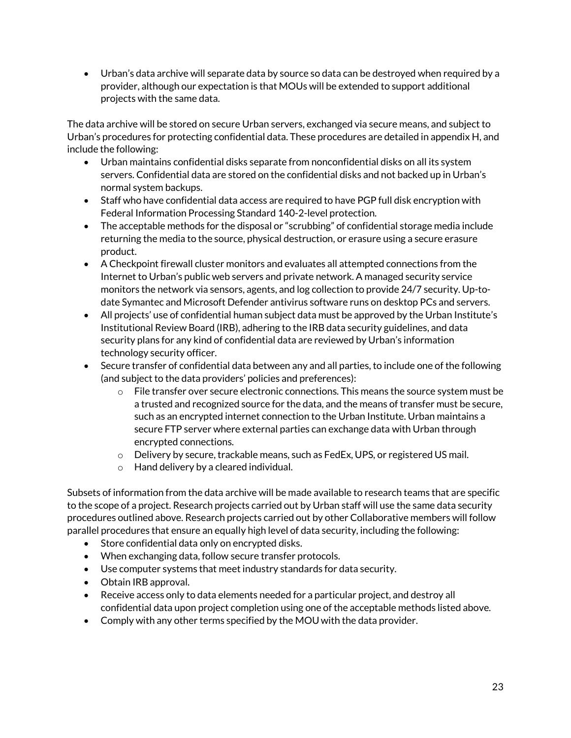Urban's data archive will separate data by source so data can be destroyed when required by a provider, although our expectation is that MOUs will be extended to support additional projects with the same data.

The data archive will be stored on secure Urban servers, exchanged via secure means, and subject to Urban's procedures for protecting confidential data. These procedures are detailed in appendix H, and include the following:

- Urban maintains confidential disks separate from nonconfidential disks on all its system servers. Confidential data are stored on the confidential disks and not backed up in Urban's normal system backups.
- Staff who have confidential data access are required to have PGP full disk encryption with Federal Information Processing Standard 140-2-level protection.
- The acceptable methods for the disposal or "scrubbing" of confidential storage media include returning the media to the source, physical destruction, or erasure using a secure erasure product.
- A Checkpoint firewall cluster monitors and evaluates all attempted connections from the Internet to Urban's public web servers and private network. A managed security service monitors the network via sensors, agents, and log collection to provide 24/7 security. Up-todate Symantec and Microsoft Defender antivirus software runs on desktop PCs and servers.
- All projects' use of confidential human subject data must be approved by the Urban Institute's Institutional Review Board (IRB), adhering to the IRB data security guidelines, and data security plans for any kind of confidential data are reviewed by Urban's information technology security officer.
- Secure transfer of confidential data between any and all parties, to include one of the following (and subject to the data providers' policies and preferences):
	- $\circ$  File transfer over secure electronic connections. This means the source system must be a trusted and recognized source for the data, and the means of transfer must be secure, such as an encrypted internet connection to the Urban Institute. Urban maintains a secure FTP server where external parties can exchange data with Urban through encrypted connections.
	- $\circ$  Delivery by secure, trackable means, such as FedEx, UPS, or registered US mail.
	- o Hand delivery by a cleared individual.

Subsets of information from the data archive will be made available to research teams that are specific to the scope of a project. Research projects carried out by Urban staff will use the same data security procedures outlined above. Research projects carried out by other Collaborative members will follow parallel procedures that ensure an equally high level of data security, including the following:

- Store confidential data only on encrypted disks.
- When exchanging data, follow secure transfer protocols.
- Use computer systems that meet industry standards for data security.
- Obtain IRB approval.
- Receive access only to data elements needed for a particular project, and destroy all confidential data upon project completion using one of the acceptable methods listed above.
- Comply with any other terms specified by the MOU with the data provider.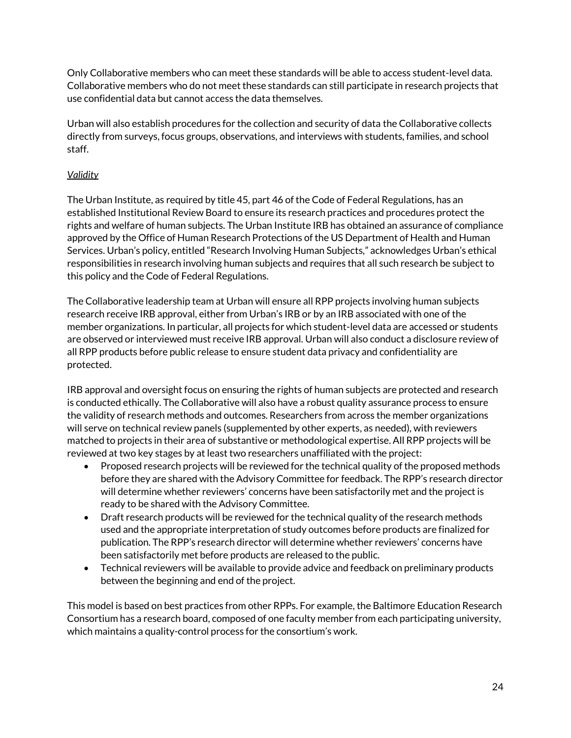Only Collaborative members who can meet these standards will be able to access student-level data. Collaborative members who do not meet these standards can still participate in research projects that use confidential data but cannot access the data themselves.

Urban will also establish procedures for the collection and security of data the Collaborative collects directly from surveys, focus groups, observations, and interviews with students, families, and school staff.

## *Validity*

The Urban Institute, as required by title 45, part 46 of the Code of Federal Regulations, has an established Institutional Review Board to ensure its research practices and procedures protect the rights and welfare of human subjects. The Urban Institute IRB has obtained an assurance of compliance approved by the Office of Human Research Protections of the US Department of Health and Human Services. Urban's policy, entitled "Research Involving Human Subjects," acknowledges Urban's ethical responsibilities in research involving human subjects and requires that all such research be subject to this policy and the Code of Federal Regulations.

The Collaborative leadership team at Urban will ensure all RPP projects involving human subjects research receive IRB approval, either from Urban's IRB or by an IRB associated with one of the member organizations. In particular, all projects for which student-level data are accessed or students are observed or interviewed must receive IRB approval. Urban will also conduct a disclosure review of all RPP products before public release to ensure student data privacy and confidentiality are protected.

IRB approval and oversight focus on ensuring the rights of human subjects are protected and research is conducted ethically. The Collaborative will also have a robust quality assurance process to ensure the validity of research methods and outcomes. Researchers from across the member organizations will serve on technical review panels (supplemented by other experts, as needed), with reviewers matched to projects in their area of substantive or methodological expertise. All RPP projects will be reviewed at two key stages by at least two researchers unaffiliated with the project:

- Proposed research projects will be reviewed for the technical quality of the proposed methods before they are shared with the Advisory Committee for feedback. The RPP's research director will determine whether reviewers' concerns have been satisfactorily met and the project is ready to be shared with the Advisory Committee.
- Draft research products will be reviewed for the technical quality of the research methods used and the appropriate interpretation of study outcomes before products are finalized for publication. The RPP's research director will determine whether reviewers' concerns have been satisfactorily met before products are released to the public.
- Technical reviewers will be available to provide advice and feedback on preliminary products between the beginning and end of the project.

This model is based on best practices from other RPPs. For example, the Baltimore Education Research Consortium has a research board, composed of one faculty member from each participating university, which maintains a quality-control process for the consortium's work.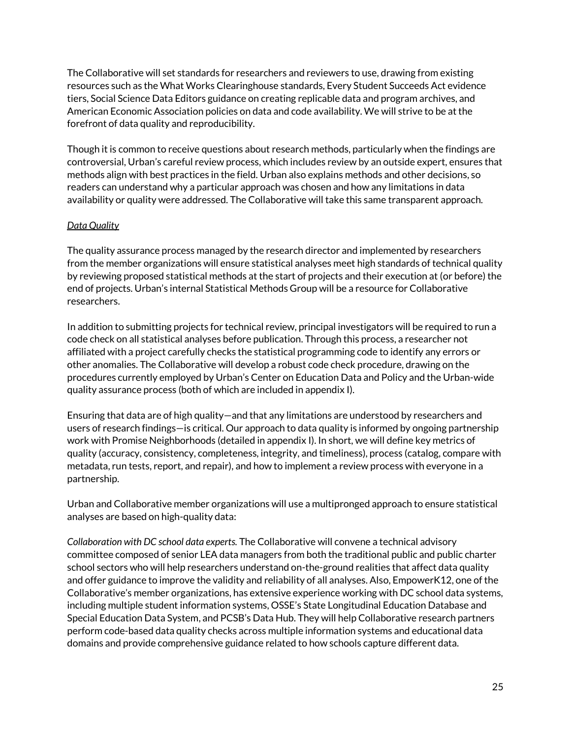The Collaborative will set standards for researchers and reviewers to use, drawing from existing resources such as the What Works Clearinghouse standards, Every Student Succeeds Act evidence tiers, Social Science Data Editors guidance on creating replicable data and program archives, and American Economic Association policies on data and code availability. We will strive to be at the forefront of data quality and reproducibility.

Though it is common to receive questions about research methods, particularly when the findings are controversial, Urban's careful review process, which includes review by an outside expert, ensures that methods align with best practices in the field. Urban also explains methods and other decisions, so readers can understand why a particular approach was chosen and how any limitations in data availability or quality were addressed. The Collaborative will take this same transparent approach.

## *Data Quality*

The quality assurance process managed by the research director and implemented by researchers from the member organizations will ensure statistical analyses meet high standards of technical quality by reviewing proposed statistical methods at the start of projects and their execution at (or before) the end of projects. Urban's internal Statistical Methods Group will be a resource for Collaborative researchers.

In addition to submitting projects for technical review, principal investigators will be required to run a code check on all statistical analyses before publication. Through this process, a researcher not affiliated with a project carefully checks the statistical programming code to identify any errors or other anomalies. The Collaborative will develop a robust code check procedure, drawing on the procedures currently employed by Urban's Center on Education Data and Policy and the Urban-wide quality assurance process (both of which are included in appendix I).

Ensuring that data are of high quality—and that any limitations are understood by researchers and users of research findings—is critical. Our approach to data quality is informed by ongoing partnership work with Promise Neighborhoods (detailed in appendix I). In short, we will define key metrics of quality (accuracy, consistency, completeness, integrity, and timeliness), process (catalog, compare with metadata, run tests, report, and repair), and how to implement a review process with everyone in a partnership.

Urban and Collaborative member organizations will use a multipronged approach to ensure statistical analyses are based on high-quality data:

*Collaboration with DC school data experts.* The Collaborative will convene a technical advisory committee composed of senior LEA data managers from both the traditional public and public charter school sectors who will help researchers understand on-the-ground realities that affect data quality and offer guidance to improve the validity and reliability of all analyses. Also, EmpowerK12, one of the Collaborative's member organizations, has extensive experience working with DC school data systems, including multiple student information systems, OSSE's State Longitudinal Education Database and Special Education Data System, and PCSB's Data Hub. They will help Collaborative research partners perform code-based data quality checks across multiple information systems and educational data domains and provide comprehensive guidance related to how schools capture different data.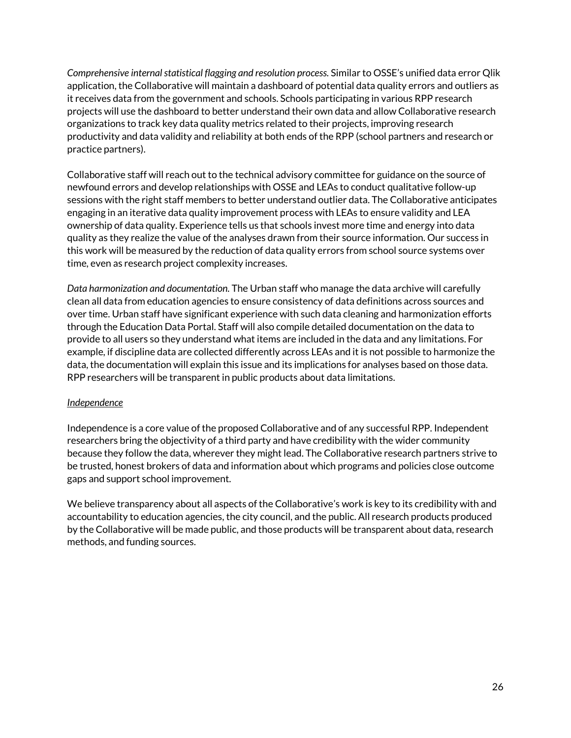*Comprehensive internal statistical flagging and resolution process.* Similar to OSSE's unified data error Qlik application, the Collaborative will maintain a dashboard of potential data quality errors and outliers as it receives data from the government and schools. Schools participating in various RPP research projects will use the dashboard to better understand their own data and allow Collaborative research organizations to track key data quality metrics related to their projects, improving research productivity and data validity and reliability at both ends of the RPP (school partners and research or practice partners).

Collaborative staff will reach out to the technical advisory committee for guidance on the source of newfound errors and develop relationships with OSSE and LEAs to conduct qualitative follow-up sessions with the right staff members to better understand outlier data. The Collaborative anticipates engaging in an iterative data quality improvement process with LEAs to ensure validity and LEA ownership of data quality. Experience tells us that schools invest more time and energy into data quality as they realize the value of the analyses drawn from their source information. Our success in this work will be measured by the reduction of data quality errors from school source systems over time, even as research project complexity increases.

*Data harmonization and documentation.* The Urban staff who manage the data archive will carefully clean all data from education agencies to ensure consistency of data definitions across sources and over time. Urban staff have significant experience with such data cleaning and harmonization efforts through the Education Data Portal. Staff will also compile detailed documentation on the data to provide to all users so they understand what items are included in the data and any limitations. For example, if discipline data are collected differently across LEAs and it is not possible to harmonize the data, the documentation will explain this issue and its implications for analyses based on those data. RPP researchers will be transparent in public products about data limitations.

#### *Independence*

Independence is a core value of the proposed Collaborative and of any successful RPP. Independent researchers bring the objectivity of a third party and have credibility with the wider community because they follow the data, wherever they might lead. The Collaborative research partners strive to be trusted, honest brokers of data and information about which programs and policies close outcome gaps and support school improvement.

We believe transparency about all aspects of the Collaborative's work is key to its credibility with and accountability to education agencies, the city council, and the public. All research products produced by the Collaborative will be made public, and those products will be transparent about data, research methods, and funding sources.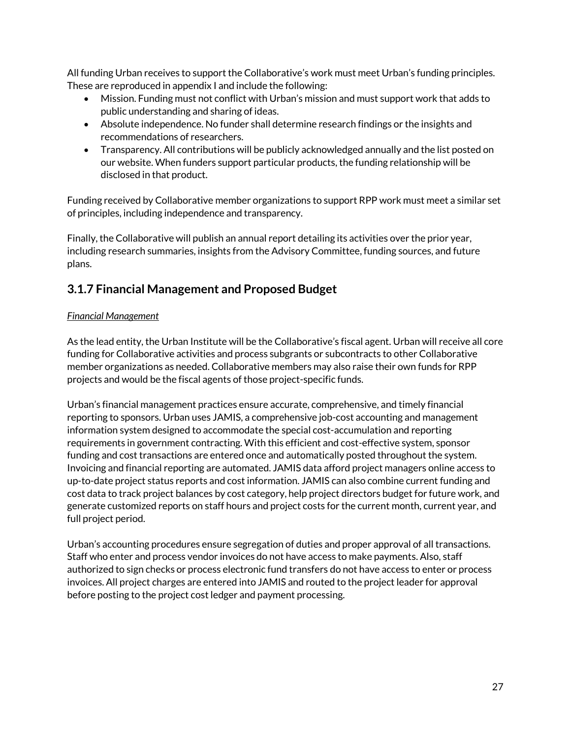All funding Urban receives to support the Collaborative's work must meet Urban's funding principles. These are reproduced in appendix I and include the following:

- Mission. Funding must not conflict with Urban's mission and must support work that adds to public understanding and sharing of ideas.
- Absolute independence. No funder shall determine research findings or the insights and recommendations of researchers.
- Transparency. All contributions will be publicly acknowledged annually and the list posted on our website. When funders support particular products, the funding relationship will be disclosed in that product.

Funding received by Collaborative member organizations to support RPP work must meet a similar set of principles, including independence and transparency.

Finally, the Collaborative will publish an annual report detailing its activities over the prior year, including research summaries, insights from the Advisory Committee, funding sources, and future plans.

# <span id="page-28-0"></span>**3.1.7 Financial Management and Proposed Budget**

## *Financial Management*

As the lead entity, the Urban Institute will be the Collaborative's fiscal agent. Urban will receive all core funding for Collaborative activities and process subgrants or subcontracts to other Collaborative member organizations as needed. Collaborative members may also raise their own funds for RPP projects and would be the fiscal agents of those project-specific funds.

Urban's financial management practices ensure accurate, comprehensive, and timely financial reporting to sponsors. Urban uses JAMIS, a comprehensive job-cost accounting and management information system designed to accommodate the special cost-accumulation and reporting requirements in government contracting. With this efficient and cost-effective system, sponsor funding and cost transactions are entered once and automatically posted throughout the system. Invoicing and financial reporting are automated. JAMIS data afford project managers online access to up-to-date project status reports and cost information. JAMIS can also combine current funding and cost data to track project balances by cost category, help project directors budget for future work, and generate customized reports on staff hours and project costs for the current month, current year, and full project period.

Urban's accounting procedures ensure segregation of duties and proper approval of all transactions. Staff who enter and process vendor invoices do not have access to make payments. Also, staff authorized to sign checks or process electronic fund transfers do not have access to enter or process invoices. All project charges are entered into JAMIS and routed to the project leader for approval before posting to the project cost ledger and payment processing.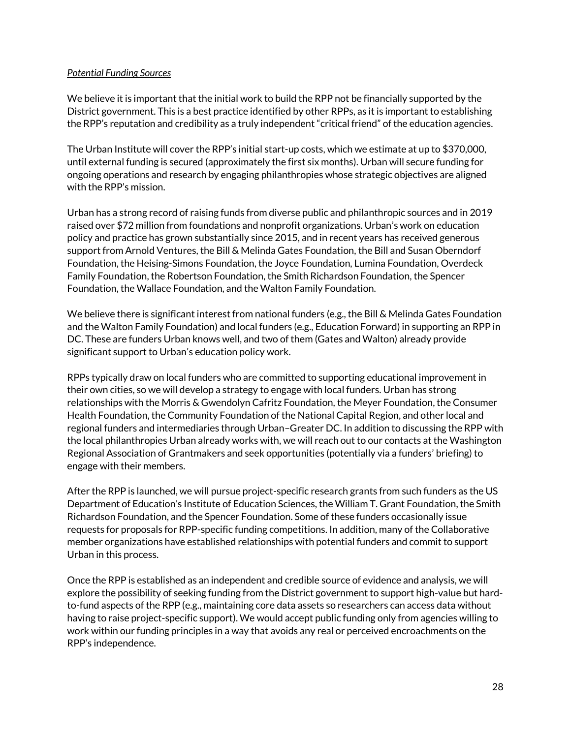#### *Potential Funding Sources*

We believe it is important that the initial work to build the RPP not be financially supported by the District government. This is a best practice identified by other RPPs, as it is important to establishing the RPP's reputation and credibility as a truly independent "critical friend" of the education agencies.

The Urban Institute will cover the RPP's initial start-up costs, which we estimate at up to \$370,000, until external funding is secured (approximately the first six months). Urban will secure funding for ongoing operations and research by engaging philanthropies whose strategic objectives are aligned with the RPP's mission.

Urban has a strong record of raising funds from diverse public and philanthropic sources and in 2019 raised over \$72 million from foundations and nonprofit organizations. Urban's work on education policy and practice has grown substantially since 2015, and in recent years has received generous support from Arnold Ventures, the Bill & Melinda Gates Foundation, the Bill and Susan Oberndorf Foundation, the Heising-Simons Foundation, the Joyce Foundation, Lumina Foundation, Overdeck Family Foundation, the Robertson Foundation, the Smith Richardson Foundation, the Spencer Foundation, the Wallace Foundation, and the Walton Family Foundation.

We believe there is significant interest from national funders (e.g., the Bill & Melinda Gates Foundation and the Walton Family Foundation) and local funders (e.g., Education Forward) in supporting an RPP in DC. These are funders Urban knows well, and two of them (Gates and Walton) already provide significant support to Urban's education policy work.

RPPs typically draw on local funders who are committed to supporting educational improvement in their own cities, so we will develop a strategy to engage with local funders. Urban has strong relationships with the Morris & Gwendolyn Cafritz Foundation, the Meyer Foundation, the Consumer Health Foundation, the Community Foundation of the National Capital Region, and other local and regional funders and intermediaries through Urban–Greater DC. In addition to discussing the RPP with the local philanthropies Urban already works with, we will reach out to our contacts at the Washington Regional Association of Grantmakers and seek opportunities (potentially via a funders' briefing) to engage with their members.

After the RPP is launched, we will pursue project-specific research grants from such funders as the US Department of Education's Institute of Education Sciences, the William T. Grant Foundation, the Smith Richardson Foundation, and the Spencer Foundation. Some of these funders occasionally issue requests for proposals for RPP-specific funding competitions. In addition, many of the Collaborative member organizations have established relationships with potential funders and commit to support Urban in this process.

Once the RPP is established as an independent and credible source of evidence and analysis, we will explore the possibility of seeking funding from the District government to support high-value but hardto-fund aspects of the RPP (e.g., maintaining core data assets so researchers can access data without having to raise project-specific support). We would accept public funding only from agencies willing to work within our funding principles in a way that avoids any real or perceived encroachments on the RPP's independence.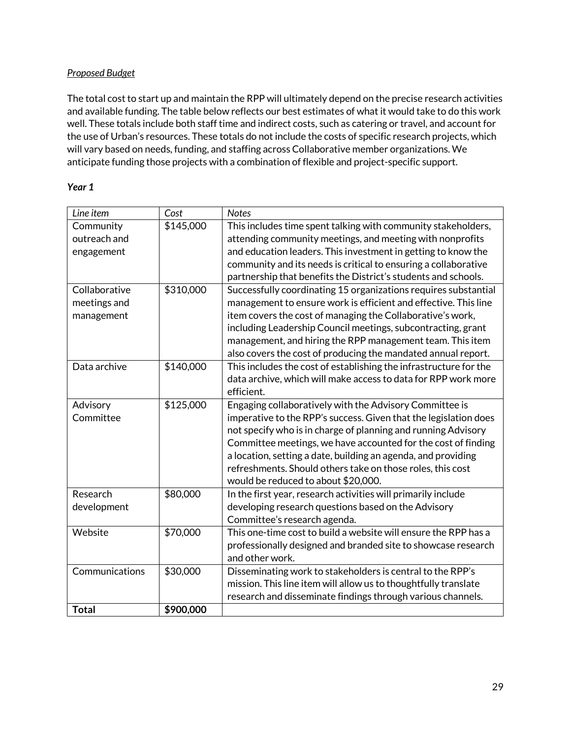#### *Proposed Budget*

The total cost to start up and maintain the RPP will ultimately depend on the precise research activities and available funding. The table below reflects our best estimates of what it would take to do this work well. These totals include both staff time and indirect costs, such as catering or travel, and account for the use of Urban's resources. These totals do not include the costs of specific research projects, which will vary based on needs, funding, and staffing across Collaborative member organizations. We anticipate funding those projects with a combination of flexible and project-specific support.

#### *Year 1*

| Line item      | Cost      | <b>Notes</b>                                                      |
|----------------|-----------|-------------------------------------------------------------------|
| Community      | \$145,000 | This includes time spent talking with community stakeholders,     |
| outreach and   |           | attending community meetings, and meeting with nonprofits         |
| engagement     |           | and education leaders. This investment in getting to know the     |
|                |           | community and its needs is critical to ensuring a collaborative   |
|                |           | partnership that benefits the District's students and schools.    |
| Collaborative  | \$310,000 | Successfully coordinating 15 organizations requires substantial   |
| meetings and   |           | management to ensure work is efficient and effective. This line   |
| management     |           | item covers the cost of managing the Collaborative's work,        |
|                |           | including Leadership Council meetings, subcontracting, grant      |
|                |           | management, and hiring the RPP management team. This item         |
|                |           | also covers the cost of producing the mandated annual report.     |
| Data archive   | \$140,000 | This includes the cost of establishing the infrastructure for the |
|                |           | data archive, which will make access to data for RPP work more    |
|                |           | efficient.                                                        |
| Advisory       | \$125,000 | Engaging collaboratively with the Advisory Committee is           |
| Committee      |           | imperative to the RPP's success. Given that the legislation does  |
|                |           | not specify who is in charge of planning and running Advisory     |
|                |           | Committee meetings, we have accounted for the cost of finding     |
|                |           | a location, setting a date, building an agenda, and providing     |
|                |           | refreshments. Should others take on those roles, this cost        |
|                |           | would be reduced to about \$20,000.                               |
| Research       | \$80,000  | In the first year, research activities will primarily include     |
| development    |           | developing research questions based on the Advisory               |
|                |           | Committee's research agenda.                                      |
| Website        | \$70,000  | This one-time cost to build a website will ensure the RPP has a   |
|                |           | professionally designed and branded site to showcase research     |
|                |           | and other work.                                                   |
| Communications | \$30,000  | Disseminating work to stakeholders is central to the RPP's        |
|                |           | mission. This line item will allow us to thoughtfully translate   |
|                |           | research and disseminate findings through various channels.       |
| <b>Total</b>   | \$900,000 |                                                                   |